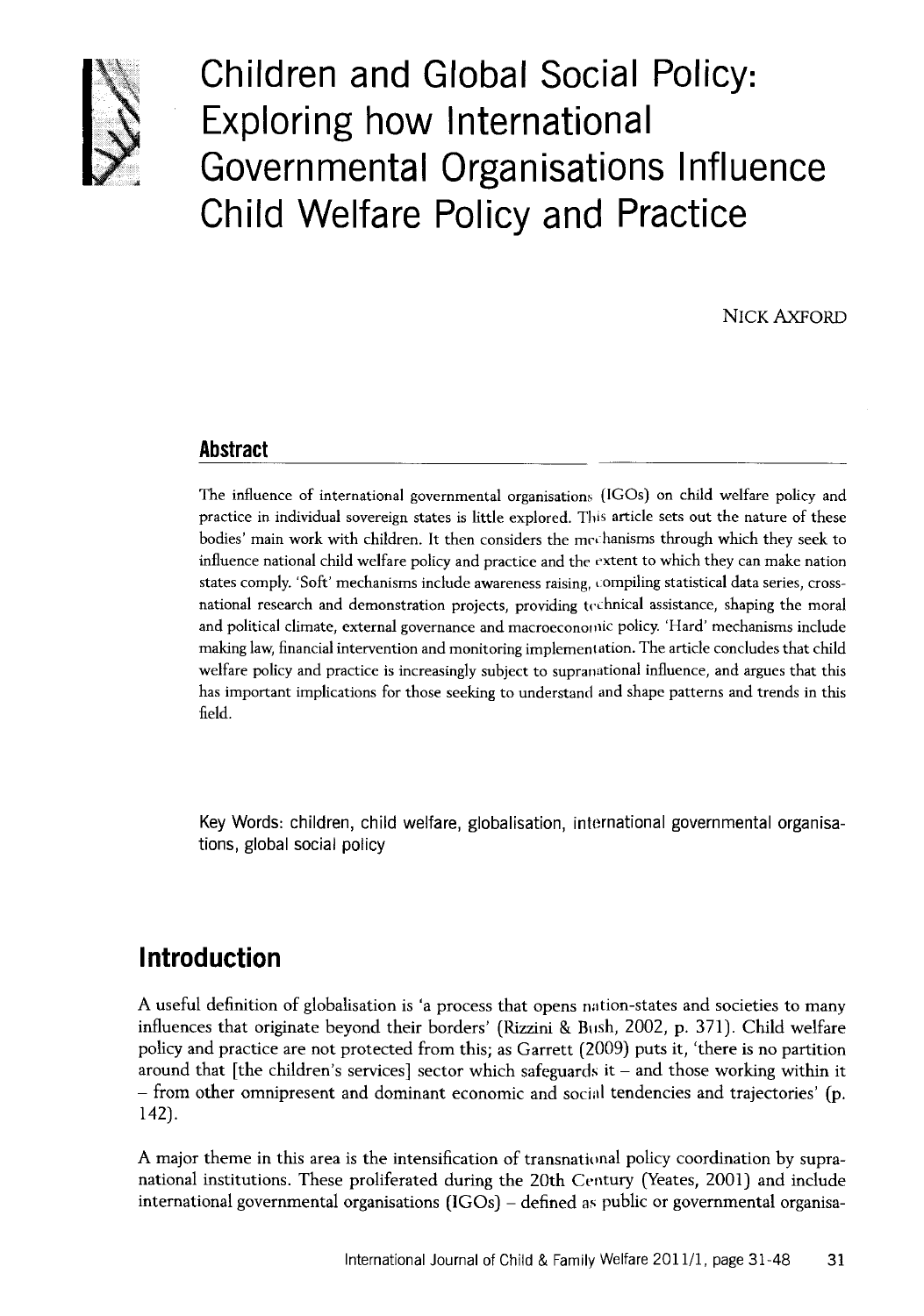

**Children and Global Social Policy: Exploring how International Governmental Organisations Influence Child Welfare Policy and Practice**

NICK AXFORD

#### **Abstract**

The influence of international governmental organisations (IGOs) on child welfare policy and practice in individual sovereign states is little explored. This article sets out the nature of these bodies' main work with children. It then considers the mechanisms through which they seek to influence national child welfare policy and practice and the extent to which they can make nation states comply. 'Soft' mechanisms include awareness raising, compiling statistical data series, crossnational research and demonstration projects, providing technical assistance, shaping the moral and political climate, external governance and macroeconomic policy. 'Hard' mechanisms include making law, financial intervention and monitoring implementation. The article concludes that child welfare policy and practice is increasingly subject to supranational influence, and argues that this has important implications for those seeking to understand and shape patterns and trends in this field.

**Key Words: children, child welfare, globalisation, international governmental organisations, global social policy**

### **Introduction**

A useful definition of globalisation is 'a process that opens nation-states and societies to many influences that originate beyond their borders' (Rizzini & Bush, 2002, p. 371). Child welfare policy and practice are not protected from this; as Garrett (2009) puts it, 'there is no partition around that [the children's services] sector which safeguards it - and those working within it - from other omnipresent and dominant economic and social tendencies and trajectories' (p. 142).

A major theme in this area is the intensification of transnational policy coordination by supranational institutions. These proliferated during the 20th Century (Yeates, 2001) and include international governmental organisations (IGOs) - defined as public or governmental organisa-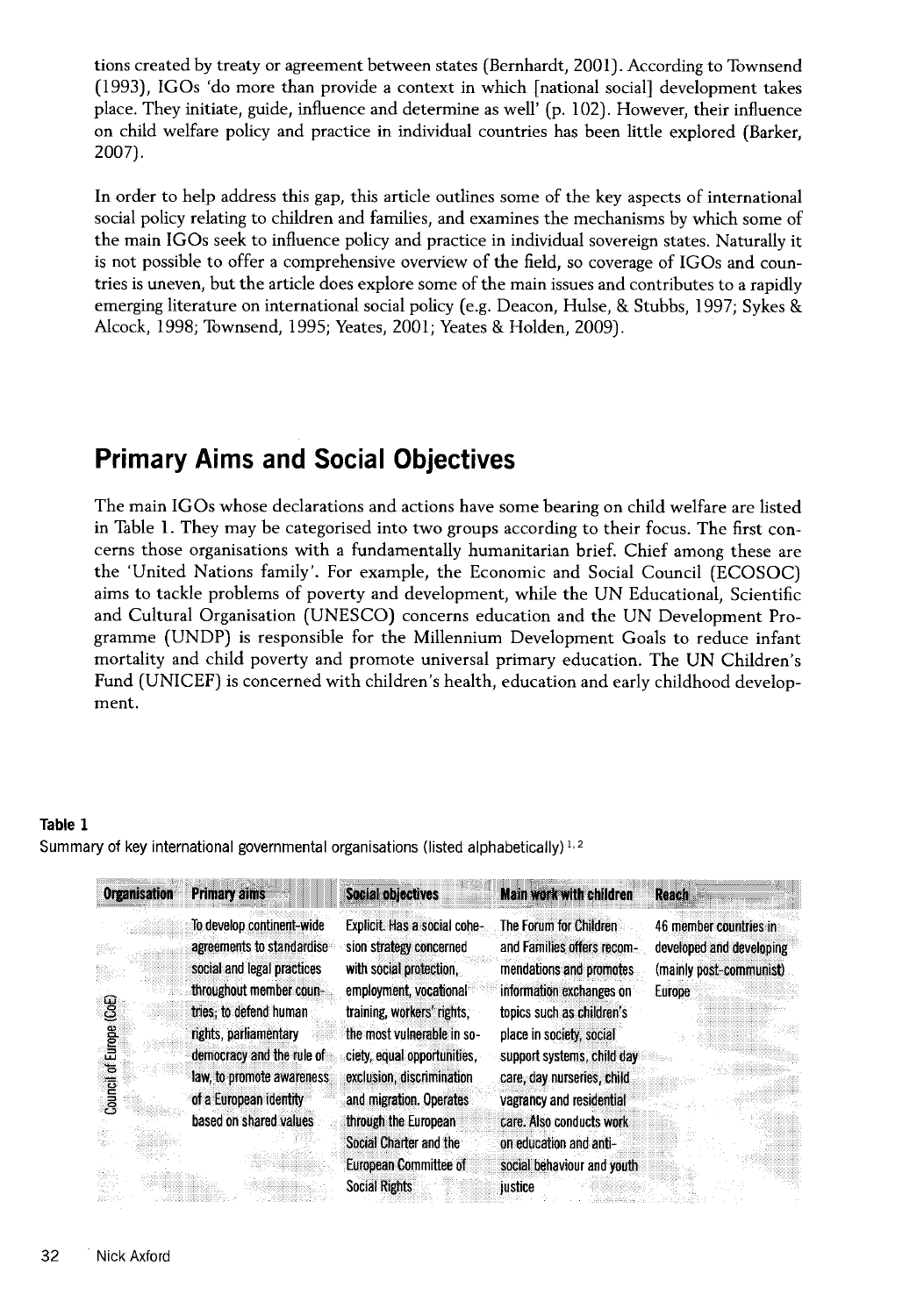tions created by treaty or agreement between states (Bernhardt, 2001). According to Townsend (1993), IGOs 'do more than provide a context in which [national social] development takes place. They initiate, guide, influence and determine as well' (p. 102). However, their influence on child welfare policy and practice in individual countries has been little explored (Barker, 2007).

In order to help address this gap, this article outlines some of the key aspects of international social policy relating to children and families, and examines the mechanisms by which some of the main IGOs seek to influence policy and practice in individual sovereign states. Naturally it is not possible to offer a comprehensive overview of the field, so coverage of IGOs and countries is uneven, but the article does explore some of the main issues and contributes to a rapidly emerging literature on international social policy (e.g. Deacon, Hulse, & Stubbs, 1997; Sykes & Alcock, 1998; Townsend, 1995; Yeates, 2001; Yeates & Holden, 2009).

## **Primary Aims and Social Objectives**

The main IGOs whose declarations and actions have some bearing on child welfare are listed in Table 1. They may be categorised into two groups according to their focus. The first concerns those organisations with a fundamentally humanitarian brief. Chief among these are the 'United Nations family'. For example, the Economic and Social Council (ECOSOC) aims to tackle problems of poverty and development, while the UN Educational, Scientific and Cultural Organisation (UNESCO) concerns education and the UN Development Programme (UNDP) is responsible for the Millennium Development Goals to reduce infant mortality and child poverty and promote universal primary education. The UN Children's Fund (UNICEF) is concerned with children's health, education and early childhood development.

#### Table 1

Summary of key international governmental organisations (listed **alphabetically)**1.2

| <b>Organisation</b>     | <b>Primary aims</b>                                                                                                                                                                                                          | Social objectives                                                                                                                                                                                                                    | <b>Main work with children</b>                                                                                                                                                                                                   | <b>Reach</b>                                                                            |
|-------------------------|------------------------------------------------------------------------------------------------------------------------------------------------------------------------------------------------------------------------------|--------------------------------------------------------------------------------------------------------------------------------------------------------------------------------------------------------------------------------------|----------------------------------------------------------------------------------------------------------------------------------------------------------------------------------------------------------------------------------|-----------------------------------------------------------------------------------------|
| ළි<br>Council of Europe | To develop continent-wide<br>agreements to standardise<br>social and legal practices<br>throughout member coun-<br>tries: to defend human<br>rights, parliamentary<br>democracy and the rule of<br>law, to promote awareness | Explicit. Has a social cohe-<br>sion strategy concerned<br>with social protection,<br>employment, vocational<br>training, workers' rights,<br>the most vulnerable in so-<br>ciety, equal opportunities.<br>exclusion, discrimination | The Forum for Children<br>and Families offers recom-<br>mendations and promotes<br>information exchanges on<br>topics such as children's<br>place in society, social<br>support systems, child day<br>care, day nurseries, child | 46 member countries in<br>developed and developing<br>(mainly post-communist)<br>Europe |
|                         | of a European identity<br>based on shared values                                                                                                                                                                             | and migration. Operates<br>through the European<br>Social Charter and the<br><b>European Committee of</b><br><b>Social Rights</b>                                                                                                    | vagrancy and residential<br>care. Also conducts work<br>on education and anti-<br>social behaviour and youth<br>justice                                                                                                          |                                                                                         |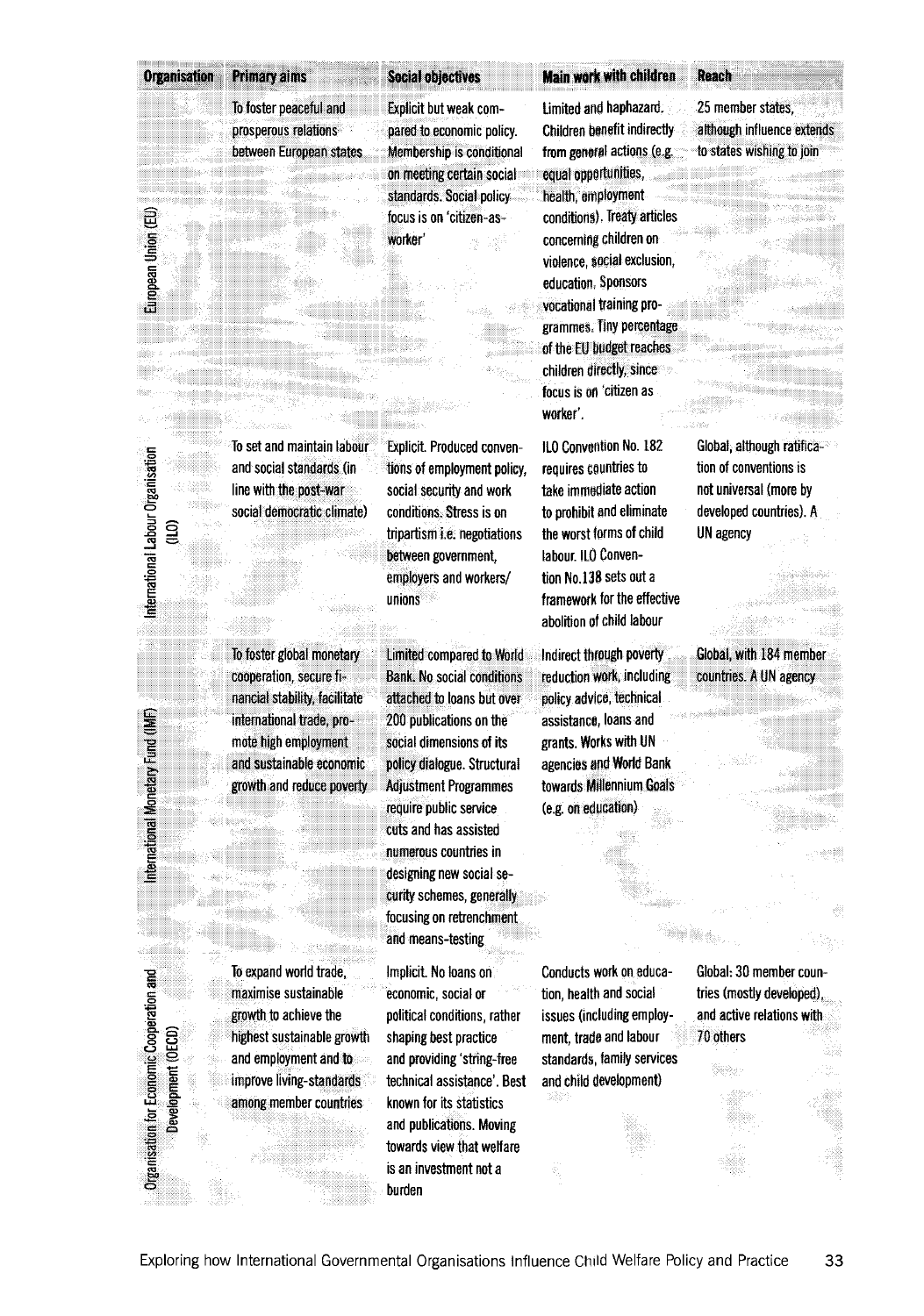#### Organisation Primary aims Social objectives

**To foster peaceful and prosperous relations between European states**

**Explicit but weak compared to economic policy. Membership is conditional** on **meeting** certain **social standards. Social policy focus is on 'citizen-asworker'**

**Explicit. Produced conventions of employment policy, social security and work conditions. Stress is on tripartism i.e. negotiations between government, employers and workers/**

**unions**

#### **Main wdrk** with children Reach

**Limited and haphazard. Children benefit indirectly from general actions (e.g. equal opportunities, health, employment conditions). Treaty articles concerning children on violence, social exclusion, education. Sponsors vocational training programmes, Tiny percentage of the EU budget reaches children directly, since** focus is on 'citizen as **worker'.**

**ILO Convention No. 182 requires countries to lake immediate action to prohibit and eliminate the worst forms of child labour. ILO Convention No.138 sets out a framework for the effective abolition of child labour**

**Indirect through poverty reduction work, including policy advice, technical assistance, loans and grants. Works with UN agencies and World Bank towards Millennium Goals (e.g. on education)**

**25 member states, although influence extends to states wishing to join**

**Global, although ratification of conventions is not universal (more by developed countries). A UN agency**

**Global, with 184 member countries. A UN agency**

**To foster global monetary cooperation, secure financial stability, facilitate international trade, promote high employment and sustainable economic**

**Organisation for Economic Cooperation and International Monetary Fund (IMF) International Labour Organisation European Union (EU)**

International Monetary Fund (IMF)

**Organisation for Economic Cooperation and** Development (OECD)

mernational Labour Organisation g

European Union (EU)

**Development (CD)** (ILO) (ILO) (ILO) (ILO) (ILO) (ILO) (ILO) (ILO) (ILO) (ILO)

**To expand world trade, maximise sustainable growth to achieve the highest sustainable growth and employment and to improve living-standards among member countries**

**Limited compared to World Bank. No social conditions attached to loans but over 200 publications on the social dimensions of its policy dialogue. Structural Adjustment Programmes require public service cuts and has assisted numerous countries in designing new social security schemes, generally focusing on retrenchment and means-testing**

**Implicit. No loans on economic, social or political conditions, rather shaping best practice and providing 'string-free technical assistance'. Best known for its statistics and publications. Moving towards view that welfare is an investment not a burden**

**Conducts work on education, health and social issues (including employment, trade and labour standards, family services and child development)**

**Global: 30 member countries (mostly developed), and active relations with 70 others**

**line with the post-war social democratic climate)**

**To set and maintain labour and social standards (in**

**growth and reduce pverly**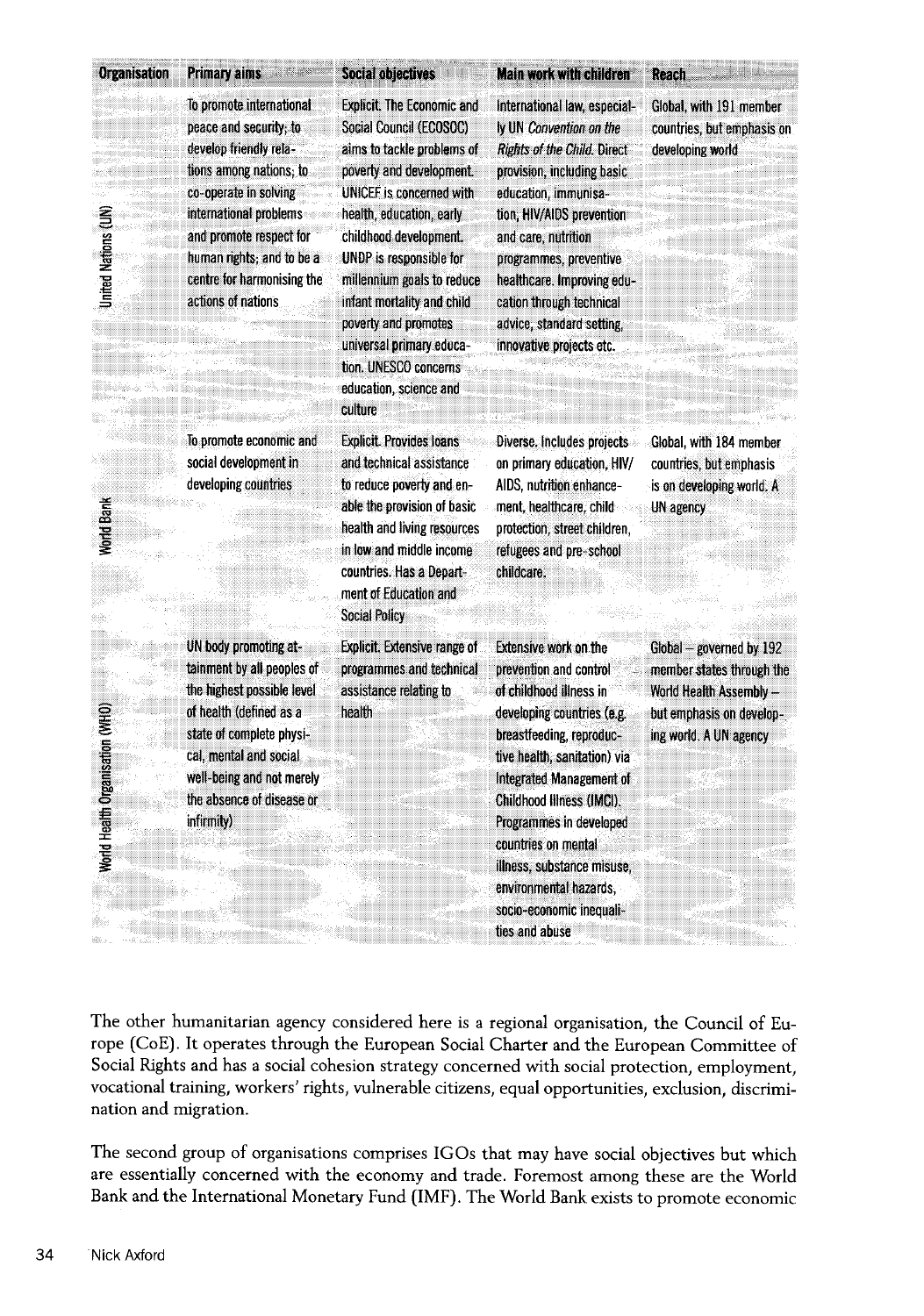| <b>Organisation</b>             | <b>Primary aims</b>                                                                                                                                                                                                                                                    | <b>Social objectives</b>                                                                                                                                                                                                                                                                                                                                                                                          | <b>Main work with children</b>                                                                                                                                                                                                                                                                                                                                                               | Reach                                                                                                                                  |
|---------------------------------|------------------------------------------------------------------------------------------------------------------------------------------------------------------------------------------------------------------------------------------------------------------------|-------------------------------------------------------------------------------------------------------------------------------------------------------------------------------------------------------------------------------------------------------------------------------------------------------------------------------------------------------------------------------------------------------------------|----------------------------------------------------------------------------------------------------------------------------------------------------------------------------------------------------------------------------------------------------------------------------------------------------------------------------------------------------------------------------------------------|----------------------------------------------------------------------------------------------------------------------------------------|
| <b>United Nations (UN)</b>      | To promote international<br>peace and security; to<br>develop friendly rela-<br>tions among nations; to<br>co-operate in solving<br>international problems<br>and promote respect for<br>human rights; and to be a<br>centre for harmonising the<br>actions of nations | <b>Explicit. The Economic and</b><br>Social Council (ECOSOC)<br>aims to tackle problems of<br>poverty and development.<br>UNICEF is concerned with<br>health, education, early<br>childhood development.<br>UNDP is responsible for<br>millennium goals to reduce<br>infant mortality and child<br>poverty and promotes<br>universal primary educa-<br>tion. UNESCO concerns<br>education, science and<br>culture | International law, especial-<br>ly UN Convention on the<br><b>Rights of the Child. Direct</b><br>provision, including basic<br>education, immunisa-<br>tion, HIV/AIDS prevention<br>and care, nutrition<br>programmes, preventive<br>healthcare. Improving edu-<br>cation through technical<br>advice, standard setting,<br>innovative projects etc.                                         | Global, with 191 member<br>countries, but emphasis on<br>developing world                                                              |
| Norld Bank                      | To promote economic and<br>social development in<br>developing countries                                                                                                                                                                                               | <b>Explicit. Provides loans</b><br>and technical assistance<br>to reduce poverty and en-<br>able the provision of basic<br>health and living resources<br>in low and middle income<br>countries. Has a Depart-<br>ment of Education and<br><b>Social Policy</b>                                                                                                                                                   | Diverse. Includes projects<br>on primary education, HIV/<br>AIDS, nutrition enhance-<br>ment, healthcare, child<br>protection, street children,<br>refugees and pre-school<br>childcare.                                                                                                                                                                                                     | Global, with 184 member<br>countries, but emphasis<br>is on developing world. A<br>UN agency                                           |
| Norld Health Organisation (WHO) | UN body promoting at-<br>tainment by all peoples of<br>the highest possible level<br>of health (defined as a<br>state of complete physi-<br>cal, mental and social<br>well-being and not merely<br>the absence of disease or<br>infirmity)                             | <b>Explicit.</b> Extensive range of<br>programmes and technical<br>assistance relating to<br>health                                                                                                                                                                                                                                                                                                               | <b>Extensive work on the</b><br>prevention and control<br>of childhood illness in<br>developing countries (e.g.<br>breastfeeding, reproduc-<br>tive health, sanitation) via<br>Integrated Management of<br>Childhood Illness (IMCI).<br>Programmes in developed<br>countries on mental<br>illness, substance misuse.<br>environmental hazards,<br>socio-economic inequali-<br>ties and abuse | Global - governed by 192<br>member states through the<br>World Health Assembly -<br>but emphasis on develop-<br>ing world. A UN agency |

The other humanitarian agency considered here is a regional organisation, the Council of Europe (CoE). It operates through the European Social Charter and the European Committee of Social Rights and has a social cohesion strategy concerned with social protection, employment, vocational training, workers' rights, vulnerable citizens, equal opportunities, exclusion, discrimination and migration.

The second group of organisations comprises IGOs that may have social objectives but which are essentially concerned with the economy and trade. Foremost among these are the World Bank and the International Monetary Fund (IMF). The World Bank exists to promote economic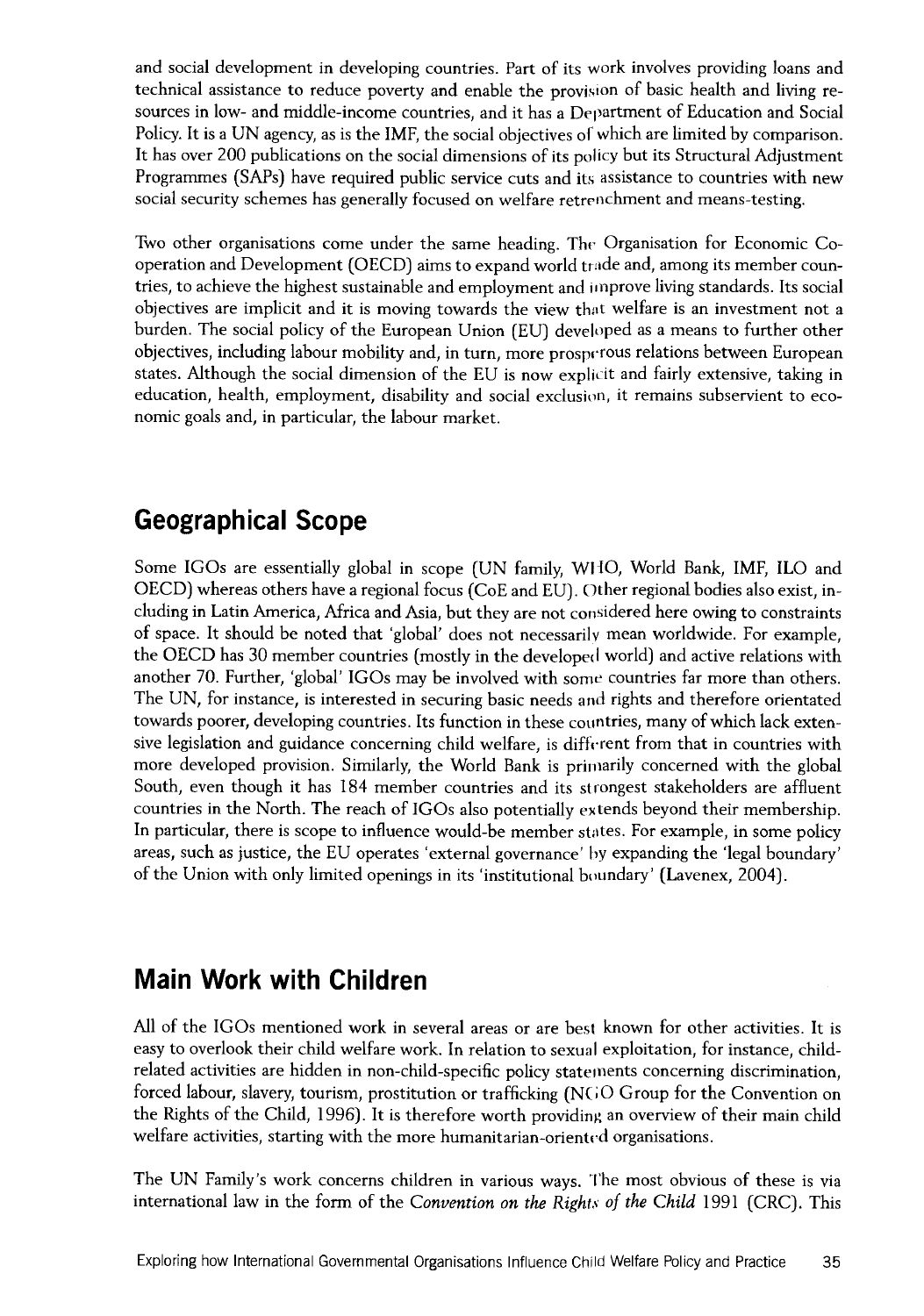and social development in developing countries. Part of its work involves providing loans and technical assistance to reduce poverty and enable the provision of basic health and living resources in low- and middle-income countries, and it has a Department of Education and Social Policy. It is a UN agency, as is the IMF, the social objectives of which are limited by comparison. It has over 200 publications on the social dimensions of its policy but its Structural Adjustment Programmes (SAPs) have required public service cuts and its assistance to countries with new social security schemes has generally focused on welfare retrenchment and means-testing.

Two other organisations come under the same heading. The Organisation for Economic Cooperation and Development (OECD) aims to expand world trade and, among its member countries, to achieve the highest sustainable and employment and improve living standards. Its social objectives are implicit and it is moving towards the view that welfare is an investment not a burden. The social policy of the European Union (EU) developed as a means to further other objectives, including labour mobility and, in turn, more prosperous relations between European states. Although the social dimension of the EU is now explicit and fairly extensive, taking in education, health, employment, disability and social exclusion, it remains subservient to economic goals and, in particular, the labour market.

## **Geographical Scope**

Some IGOs are essentially global in scope (UN family, WHO, World Bank, IMF, ILO and OECD) whereas others have a regional focus (CoE and EU). Other regional bodies also exist, including in Latin America, Africa and Asia, but they are not considered here owing to constraints of space. It should be noted that global' does not necessarily mean worldwide. For example, the OECD has 30 member countries (mostly in the developed world) and active relations with another 70. Further, 'global' IGOs may be involved with some countries far more than others. The UN, for instance, is interested in securing basic needs and rights and therefore orientated towards poorer, developing countries. Its function in these countries, many of which lack extensive legislation and guidance concerning child welfare, is different from that in countries with more developed provision. Similarly, the World Bank is primarily concerned with the global South, even though it has 184 member countries and its strongest stakeholders are affluent countries in the North. The reach of IGOs also potentially extends beyond their membership. In particular, there is scope to influence would-be member states. For example, in some policy areas, such as justice, the EU operates 'external governance' by expanding the 'legal boundary' of the Union with only limited openings in its 'institutional boundary' (Lavenex, 2004).

# **Main Work with Children**

All of the IGOs mentioned work in several areas or are best known for other activities. It is easy to overlook their child welfare work. In relation to sexual exploitation, for instance, childrelated activities are hidden in non-child-specific policy statements concerning discrimination, forced labour, slavery, tourism, prostitution or trafficking (NGO Group for the Convention on the Rights of the Child, 1996). It is therefore worth providing an overview of their main child welfare activities, starting with the more humanitarian-oriented organisations.

The UN Family's work concerns children in various ways. The most obvious of these is via international law in the form of the *Convention on the Rights of the Child* 1991 (CRC). This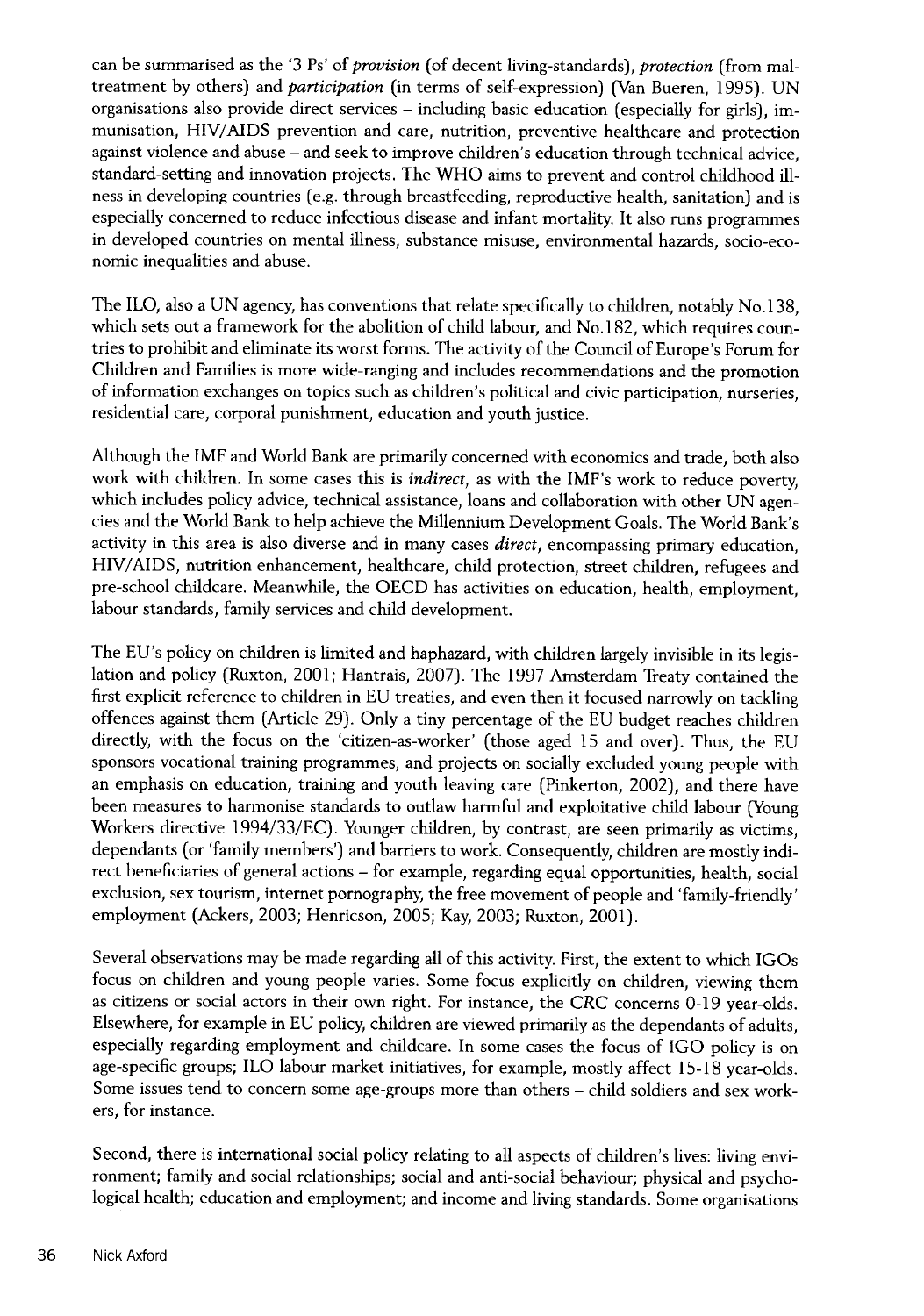can be summarised as the '3 Ps' of *provision* (of decent living-standards), *protection* (from maltreatment by others) and *participation* (in terms of self-expression) (Van Bueren, 1995). UN organisations also provide direct services - including basic education (especially for girls), immunisation, HIV/AIDS prevention and care, nutrition, preventive healthcare and protection against violence and abuse - and seek to improve children's education through technical advice, standard-setting and innovation projects. The WHO aims to prevent and control childhood illness in developing countries (e.g. through breastfeeding, reproductive health, sanitation) and is especially concerned to reduce infectious disease and infant mortality. It also runs programmes in developed countries on mental illness, substance misuse, environmental hazards, socio-economic inequalities and abuse.

The ILO, also a UN agency, has conventions that relate specifically to children, notably No. 138, which sets out a framework for the abolition of child labour, and No.182, which requires countries to prohibit and eliminate its worst forms. The activity of the Council of Europe's Forum for Children and Families is more wide-ranging and includes recommendations and the promotion of information exchanges on topics such as children's political and civic participation, nurseries, residential care, corporal punishment, education and youth justice.

Although the IMF and World Bank are primarily concerned with economics and trade, both also work with children. In some cases this is *indirect,* as with the IMF's work to reduce poverty, which includes policy advice, technical assistance, loans and collaboration with other UN agencies and the World Bank to help achieve the Millennium Development Goals. The World Bank's activity in this area is also diverse and in many cases *direct,* encompassing primary education, HIV/AIDS, nutrition enhancement, healthcare, child protection, street children, refugees and pre-school childcare. Meanwhile, the OECD has activities on education, health, employment, labour standards, family services and child development.

The EU's policy on children is limited and haphazard, with children largely invisible in its legislation and policy (Ruxton, 2001; Hantrais, 2007). The 1997 Amsterdam Treaty contained the first explicit reference to children in EU treaties, and even then it focused narrowly on tackling offences against them (Article 29). Only a tiny percentage of the EU budget reaches children directly, with the focus on the 'citizen-as-worker' (those aged 15 and over). Thus, the EU sponsors vocational training programmes, and projects on socially excluded young people with an emphasis on education, training and youth leaving care (Pinkerton, 2002), and there have been measures to harmonise standards to outlaw harmful and exploitative child labour (Young Workers directive 1994/33/EC). Younger children, by contrast, are seen primarily as victims, dependants (or 'family members') and barriers to work. Consequently, children are mostly indirect beneficiaries of general actions - for example, regarding equal opportunities, health, social exclusion, sex tourism, internet pornography, the free movement of people and 'family-friendly' employment (Ackers, 2003; Henricson, 2005; Kay, 2003; Ruxton, 2001).

Several observations may be made regarding all of this activity. First, the extent to which IGOs focus on children and young people varies. Some focus explicitly on children, viewing them as citizens or social actors in their own right. For instance, the CRC concerns 0-19 year-olds. Elsewhere, for example in EU policy, children are viewed primarily as the dependants of adults, especially regarding employment and childcare. In some cases the focus of IGO policy is on age-specific groups; ILO labour market initiatives, for example, mostly affect 15-18 year-olds. Some issues tend to concern some age-groups more than others - child soldiers and sex workers, for instance.

Second, there is international social policy relating to all aspects of children's lives: living environment; family and social relationships; social and anti-social behaviour; physical and psychological health; education and employment; and income and living standards. Some organisations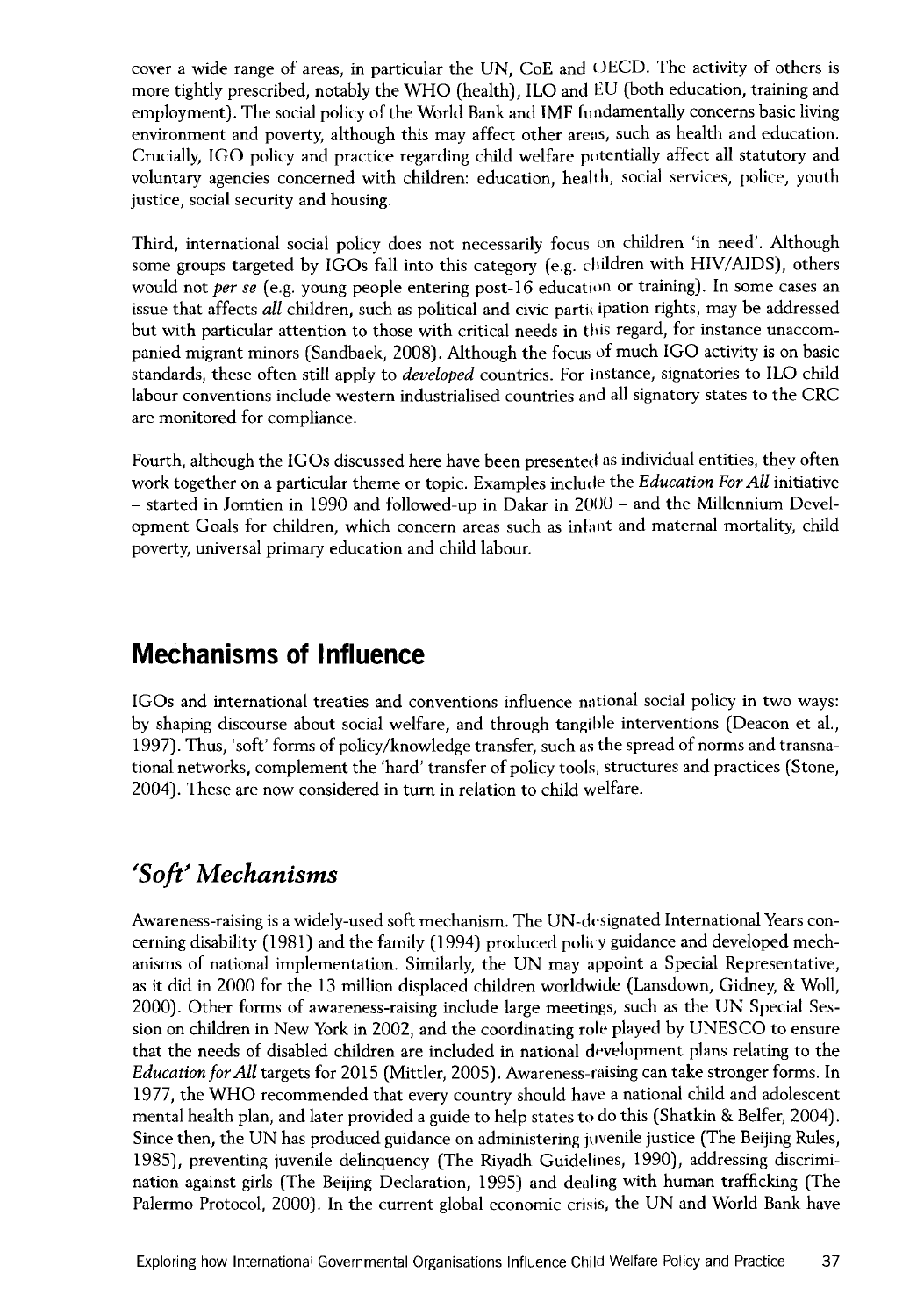cover a wide range of areas, in particular the UN, CoE and OECD. The activity of others is more tightly prescribed, notably the WHO (health), ILO and EU (both education, training and employment). The social policy of the World Bank and IMF fundamentally concerns basic living environment and poverty, although this may affect other areas, such as health and education. Crucially, IGO policy and practice regarding child welfare potentially affect all statutory and voluntary agencies concerned with children: education, health, social services, police, youth justice, social security and housing.

Third, international social policy does not necessarily focus on children 'in need'. Although some groups targeted by IGOs fall into this category (e.g. children with HIV/AIDS), others would not per *se* (e.g. young people entering post-16 education or training). In some cases an issue that affects *all* children, such as political and civic partiou pation rights, may be addressed but with particular attention to those with critical needs in tins regard, for instance unaccompanied migrant minors (Sandbaek, 2008). Although the focus of much IGO activity is on basic standards, these often still apply to *developed* countries. For instance, signatories to ILO child labour conventions include western industrialised countries and all signatory states to the CRC are monitored for compliance.

Fourth, although the IGOs discussed here have been presented as individual entities, they often work together on a particular theme or topic. Examples include the *Education For All* initiative - started in Jomtien in 1990 and followed-up in Dakar in 2000 - and the Millennium Development Goals for children, which concern areas such as infant and maternal mortality, child poverty, universal primary education and child labour.

## **Mechanisms of Influence**

IGOs and international treaties and conventions influence national social policy in two ways: by shaping discourse about social welfare, and through tangible interventions (Deacon et al., 1997). Thus, 'soft' forms of policy/knowledge transfer, such as the spread of norms and transnational networks, complement the 'hard' transfer of policy tools, structures and practices (Stone, 2004). These are now considered in turn in relation to child welfare.

# *'*'*Soft' Mechanisms*

Awareness-raising is a widely-used soft mechanism. The UN-designated International Years concerning disability (1981) and the family (1994) produced policy guidance and developed mechanisms of national implementation. Similarly, the UN may appoint a Special Representative, as it did in 2000 for the 13 million displaced children worldwide (Lansdown, Gidney, & Woll, 2000). Other forms of awareness-raising include large meetings, such as the UN Special Session on children in New York in 2002, and the coordinating role played by UNESCO to ensure that the needs of disabled children are included in national development plans relating to the *Education for All* targets for 2015 (Mittler, 2005). Awareness-raising can take stronger forms. In 1977, the WHO recommended that every country should have a national child and adolescent mental health plan, and later provided a guide to help states to do this (Shatkin & Belfer, 2004). Since then, the UN has produced guidance on administering juvenile justice (The Beijing Rules, 1985), preventing juvenile delinquency (The Riyadh Guidelines, 1990), addressing discrimination against girls (The Beijing Declaration, 1995) and dealing with human trafficking (The Palermo Protocol, 2000). In the current global economic crisis, the UN and World Bank have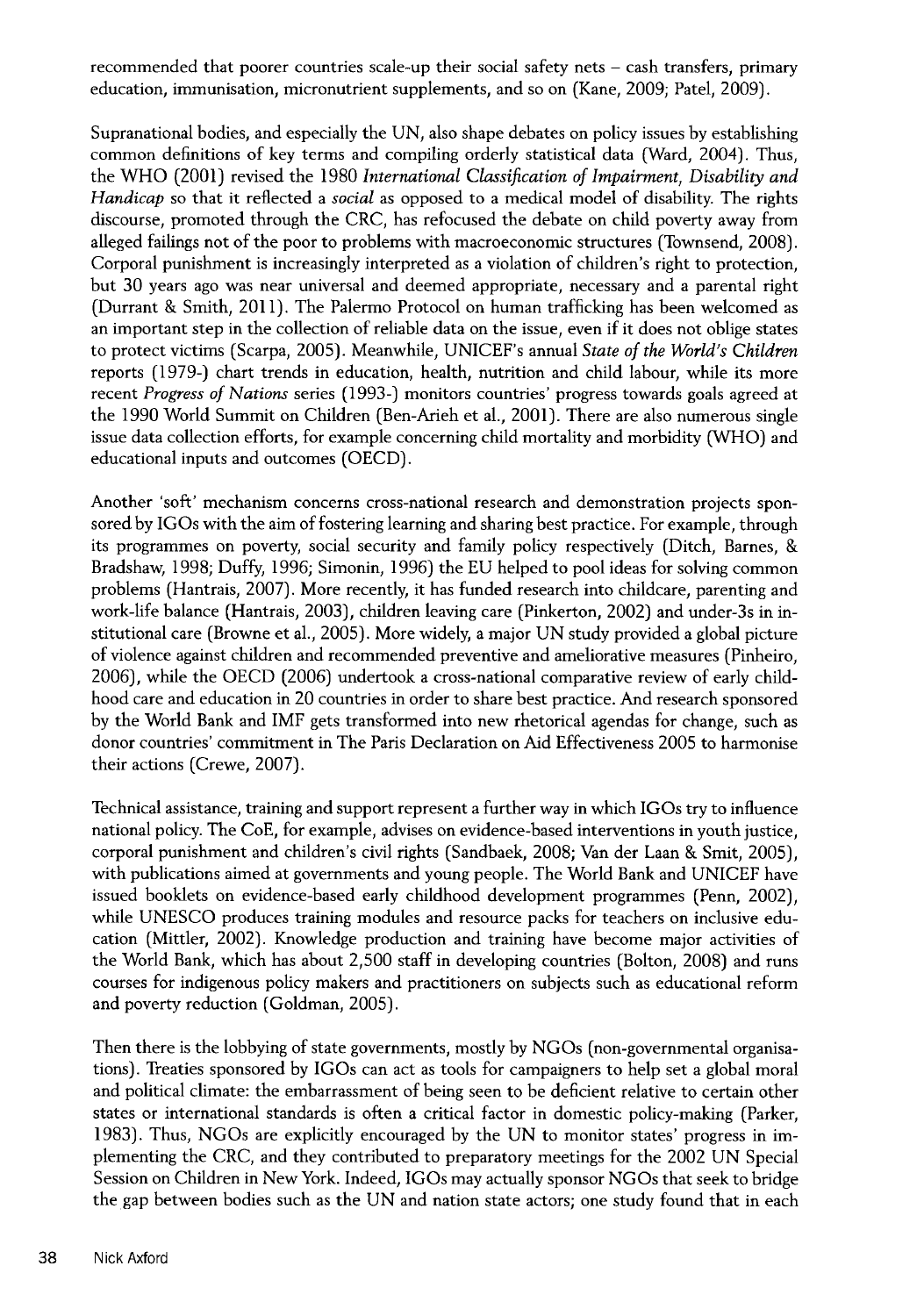recommended that poorer countries scale-up their social safety nets - cash transfers, primary education, immunisation, micronutrient supplements, and so on (Kane, 2009; Patel, 2009).

Supranational bodies, and especially the UN, also shape debates on policy issues by establishing common definitions of key terms and compiling orderly statistical data (Ward, 2004). Thus, the WHO (2001) revised the 1980 *International Classification of Impairment*. Disability and *Handicap* so that it reflected a *social* as opposed to a medical model of disability. The rights discourse, promoted through the CRC, has refocused the debate on child poverty away from alleged failings not of the poor to problems with macroeconomic structures (Townsend, 2008). Corporal punishment is increasingly interpreted as a violation of children's right to protection, but 30 years ago was near universal and deemed appropriate, necessary and a parental right (Durrant & Smith, 2011). The Palermo Protocol on human trafficking has been welcomed as an important step in the collection of reliable data on the issue, even if it does not oblige states to protect victims (Scarpa, 2005). Meanwhile, UNICEF's annual *State of the World's Children* reports (1979-) chart trends in education, health, nutrition and child labour, while its more recent *Progress of Nations* series (1993-) monitors countries' progress towards goals agreed at the 1990 World Summit on Children (Ben-Arieh et al., 2001). There are also numerous single issue data collection efforts, for example concerning child mortality and morbidity (WHO) and educational inputs and outcomes (OECD).

Another 'soft' mechanism concerns cross-national research and demonstration projects sponsored by IGOs with the aim of fostering learning and sharing best practice. For example, through its programmes on poverty, social security and family policy respectively (Ditch, Barnes, & Bradshaw, 1998; Duffy, 1996; Simonin, 1996) the EU helped to pool ideas for solving common problems (Hantrais, 2007). More recently, it has funded research into childcare, parenting and work-life balance (Hantrais, 2003), children leaving care (Pinkerton, 2002) and under-3s in institutional care (Browne et ah, 2005). More widely, a major UN study provided a global picture of violence against children and recommended preventive and ameliorative measures (Pinheiro, 2006), while the OECD (2006) undertook a cross-national comparative review of early childhood care and education in 20 countries in order to share best practice. And research sponsored by the World Bank and IMF gets transformed into new rhetorical agendas for change, such as donor countries' commitment in The Paris Declaration on Aid Effectiveness 2005 to harmonise their actions (Crewe, 2007).

Technical assistance, training and support represent a further way in which IGOs try to influence national policy. The CoE, for example, advises on evidence-based interventions in youth justice, corporal punishment and children's civil rights (Sandbaek, 2008; Van der Laan & Smit, 2005), with publications aimed at governments and young people. The World Bank and UNICEF have issued booklets on evidence-based early childhood development programmes (Penn, 2002), while UNESCO produces training modules and resource packs for teachers on inclusive education (Mittler, 2002). Knowledge production and training have become major activities of the World Bank, which has about 2,500 staff in developing countries (Bolton, 2008) and runs courses for indigenous policy makers and practitioners on subjects such as educational reform and poverty reduction (Goldman, 2005).

Then there is the lobbying of state governments, mostly by NGOs (non-governmental organisations). Treaties sponsored by IGOs can act as tools for campaigners to help set a global moral and political climate: the embarrassment of being seen to be deficient relative to certain other states or international standards is often a critical factor in domestic policy-making (Parker, 1983). Thus, NGOs are explicitly encouraged by the UN to monitor states' progress in implementing the CRC, and they contributed to preparatory meetings for the 2002 UN Special Session on Children in New York. Indeed, IGOs may actually sponsor NGOs that seek to bridge the gap between bodies such as the UN and nation state actors; one study found that in each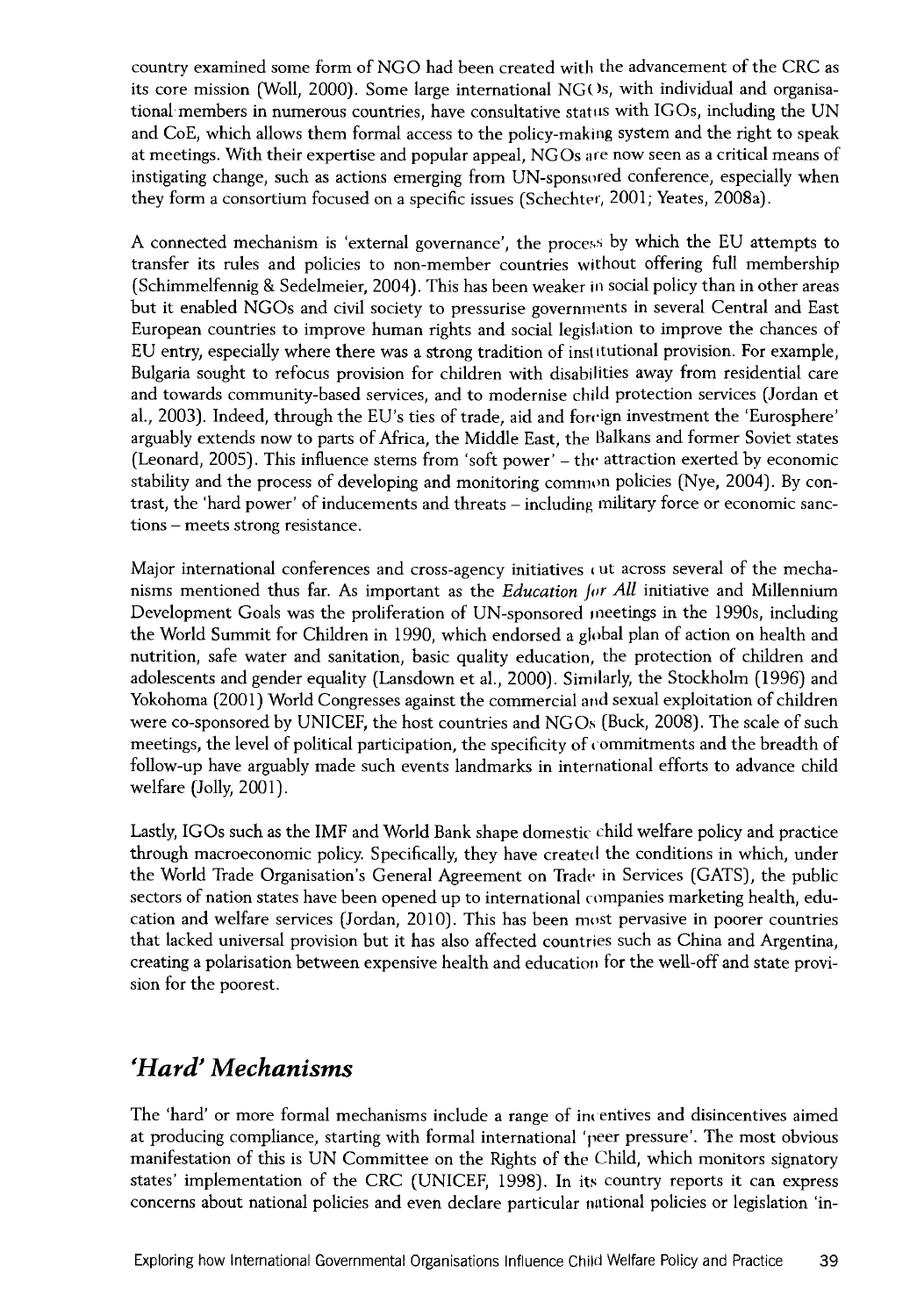country examined some form of NGO had been created with the advancement of the CRC as its core mission (Woll, 2000). Some large international NGOs, with individual and organisational members in numerous countries, have consultative status with IGOs, including the UN and CoE, which allows them formal access to the policy-making system and the right to speak at meetings. With their expertise and popular appeal, NGOs are now seen as a critical means of instigating change, such as actions emerging from UN-sponsored conference, especially when they form a consortium focused on a specific issues (Schechter, 2001; Yeates, 2008a).

A connected mechanism is 'external governance', the process by which the EU attempts to transfer its rules and policies to non-member countries without offering full membership (Schimmelfennig & Sedelmeier, 2004). This has been weaker in social policy than in other areas but it enabled NGOs and civil society to pressurise governments in several Central and East European countries to improve human rights and social legislation to improve the chances of EU entry, especially where there was a strong tradition of institutional provision. For example, Bulgaria sought to refocus provision for children with disabilities away from residential care and towards community-based services, and to modernise child protection services (Jordan et al., 2003). Indeed, through the EU's ties of trade, aid and foreign investment the 'Eurosphere' arguably extends now to parts of Africa, the Middle East, the Balkans and former Soviet states (Leonard, 2005). This influence stems from 'soft power' – the attraction exerted by economic stability and the process of developing and monitoring common policies (Nye, 2004). By contrast, the 'hard power' of inducements and threats - including military force or economic sanctions - meets strong resistance.

Major international conferences and cross-agency initiatives cut across several of the mechanisms mentioned thus far. As important as the *Education for All* initiative and Millennium Development Goals was the proliferation of UN-sponsored meetings in the 1990s, including the World Summit for Children in 1990, which endorsed a global plan of action on health and nutrition, safe water and sanitation, basic quality education, the protection of children and adolescents and gender equality (Lansdown et al., 2000). Similarly, the Stockholm (1996) and Yokohoma (2001) World Congresses against the commercial and sexual exploitation of children were co-sponsored by UNICEF, the host countries and NGOs (Buck, 2008). The scale of such meetings, the level of political participation, the specificity of commitments and the breadth of follow-up have arguably made such events landmarks in international efforts to advance child welfare (Jolly, 2001).

Lastly, IGOs such as the IMF and World Bank shape domestic child welfare policy and practice through macroeconomic policy. Specifically, they have created the conditions in which, under the World Trade Organisation's General Agreement on Trade in Services (GATS), the public sectors of nation states have been opened up to international companies marketing health, education and welfare services (Jordan, 2010). This has been most pervasive in poorer countries that lacked universal provision but it has also affected countries such as China and Argentina, creating a polarisation between expensive health and education for the well-off and state provision for the poorest.

## *'H a r d ' Mechanisms*

The 'hard' or more formal mechanisms include a range of incentives and disincentives aimed at producing compliance, starting with formal international 'peer pressure'. The most obvious manifestation of this is UN Committee on the Rights of the Child, which monitors signatory states' implementation of the CRC (UNICEF, 1998). In its country reports it can express concerns about national policies and even declare particular national policies or legislation 'in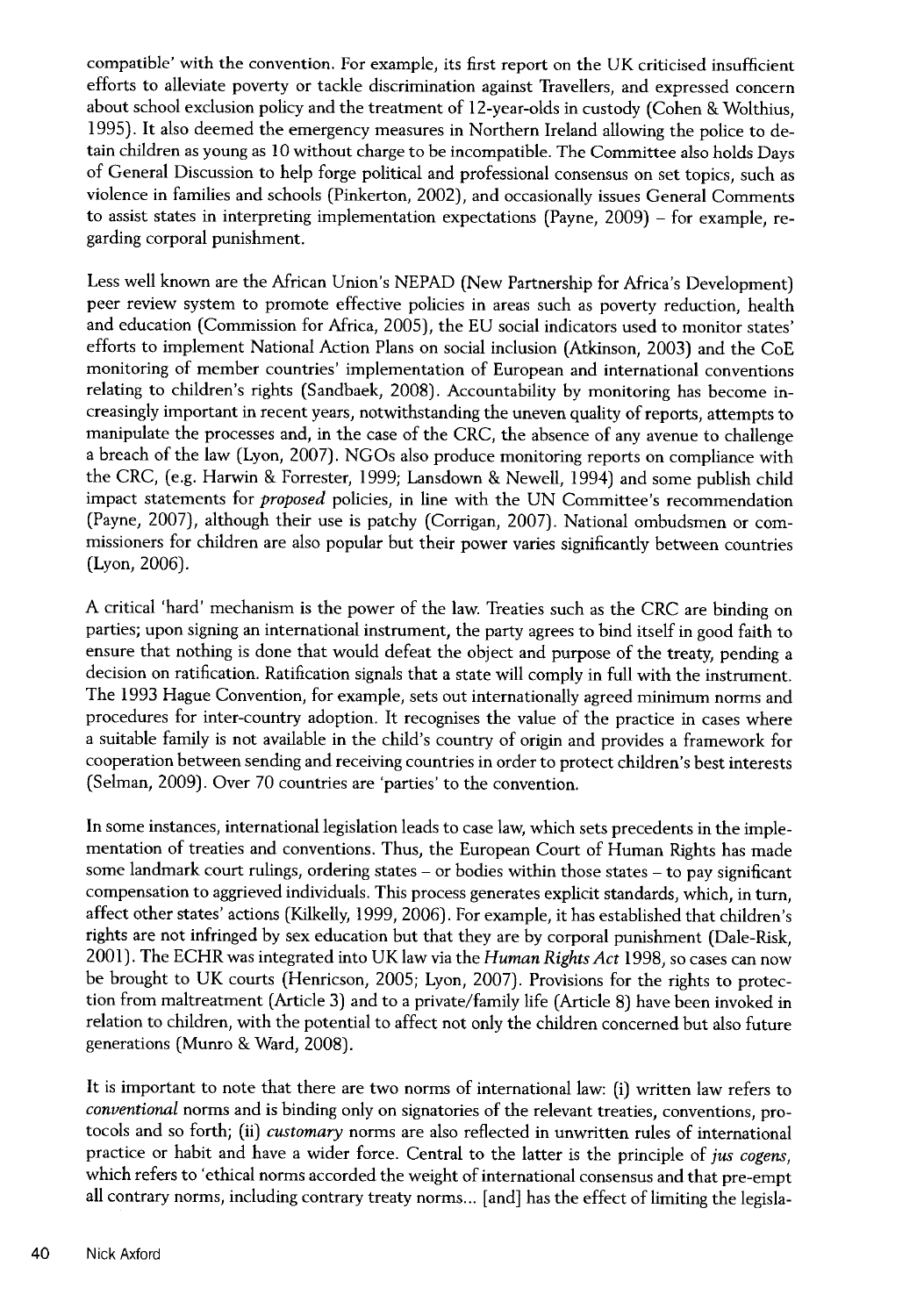compatible' with the convention. For example, its first report on the UK criticised insufficient efforts to alleviate poverty or tackle discrimination against Travellers, and expressed concern about school exclusion policy and the treatment of 12-year-olds in custody (Cohen & Wolthius, 1995). It also deemed the emergency measures in Northern Ireland allowing the police to detain children as young as 10 without charge to be incompatible. The Committee also holds Days of General Discussion to help forge political and professional consensus on set topics, such as violence in families and schools (Pinkerton, 2002), and occasionally issues General Comments to assist states in interpreting implementation expectations (Payne, 2009) - for example, regarding corporal punishment.

Less well known are the African Union's NEPAD (New Partnership for Africa's Development) peer review system to promote effective policies in areas such as poverty reduction, health and education (Commission for Africa, 2005), the EU social indicators used to monitor states' efforts to implement National Action Plans on social inclusion (Atkinson, 2003) and the CoE monitoring of member countries' implementation of European and international conventions relating to children's rights (Sandbaek, 2008). Accountability by monitoring has become increasingly important in recent years, notwithstanding the uneven quality of reports, attempts to manipulate the processes and, in the case of the CRC, the absence of any avenue to challenge a breach of the law (Lyon, 2007). NGOs also produce monitoring reports on compliance with the CRC, (e.g. Harwin & Forrester, 1999; Lansdown & Newell, 1994) and some publish child impact statements for *proposed* policies, in line with the UN Committee's recommendation (Payne, 2007), although their use is patchy (Corrigan, 2007). National ombudsmen or commissioners for children are also popular but their power varies significantly between countries (Lyon, 2006).

A critical 'hard' mechanism is the power of the law. Treaties such as the CRC are binding on parties; upon signing an international instrument, the party agrees to bind itself in good faith to ensure that nothing is done that would defeat the object and purpose of the treaty, pending a decision on ratification. Ratification signals that a state will comply in full with the instrument. The 1993 Hague Convention, for example, sets out internationally agreed minimum norms and procedures for inter-country adoption. It recognises the value of the practice in cases where a suitable family is not available in the child's country of origin and provides a framework for cooperation between sending and receiving countries in order to protect children's best interests (Selman, 2009). Over 70 countries are 'parties' to the convention.

In some instances, international legislation leads to case law, which sets precedents in the implementation of treaties and conventions. Thus, the European Court of Human Rights has made some landmark court rulings, ordering states - or bodies within those states - to pay significant compensation to aggrieved individuals. This process generates explicit standards, which, in turn, affect other states' actions (Kilkelly, 1999, 2006). For example, it has established that children's rights are not infringed by sex education but that they are by corporal punishment (Dale-Risk, 2001). The ECHR was integrated into UK law via the *Human Rights Act* 1998, so cases can now be brought to UK courts (Henricson, 2005; Lyon, 2007). Provisions for the rights to protection from maltreatment (Article 3) and to a private/family life (Article 8) have been invoked in relation to children, with the potential to affect not only the children concerned but also future generations (Munro & Ward, 2008).

It is important to note that there are two norms of international law: (i) written law refers to *conventional* norms and is binding only on signatories of the relevant treaties, conventions, protocols and so forth; (ii) *customary* norms are also reflected in unwritten rules of international practice or habit and have a wider force. Central to the latter is the principle of *jus cogens*, which refers to 'ethical norms accorded the weight of international consensus and that pre-empt all contrary norms, including contrary treaty norms... [and] has the effect of limiting the legisla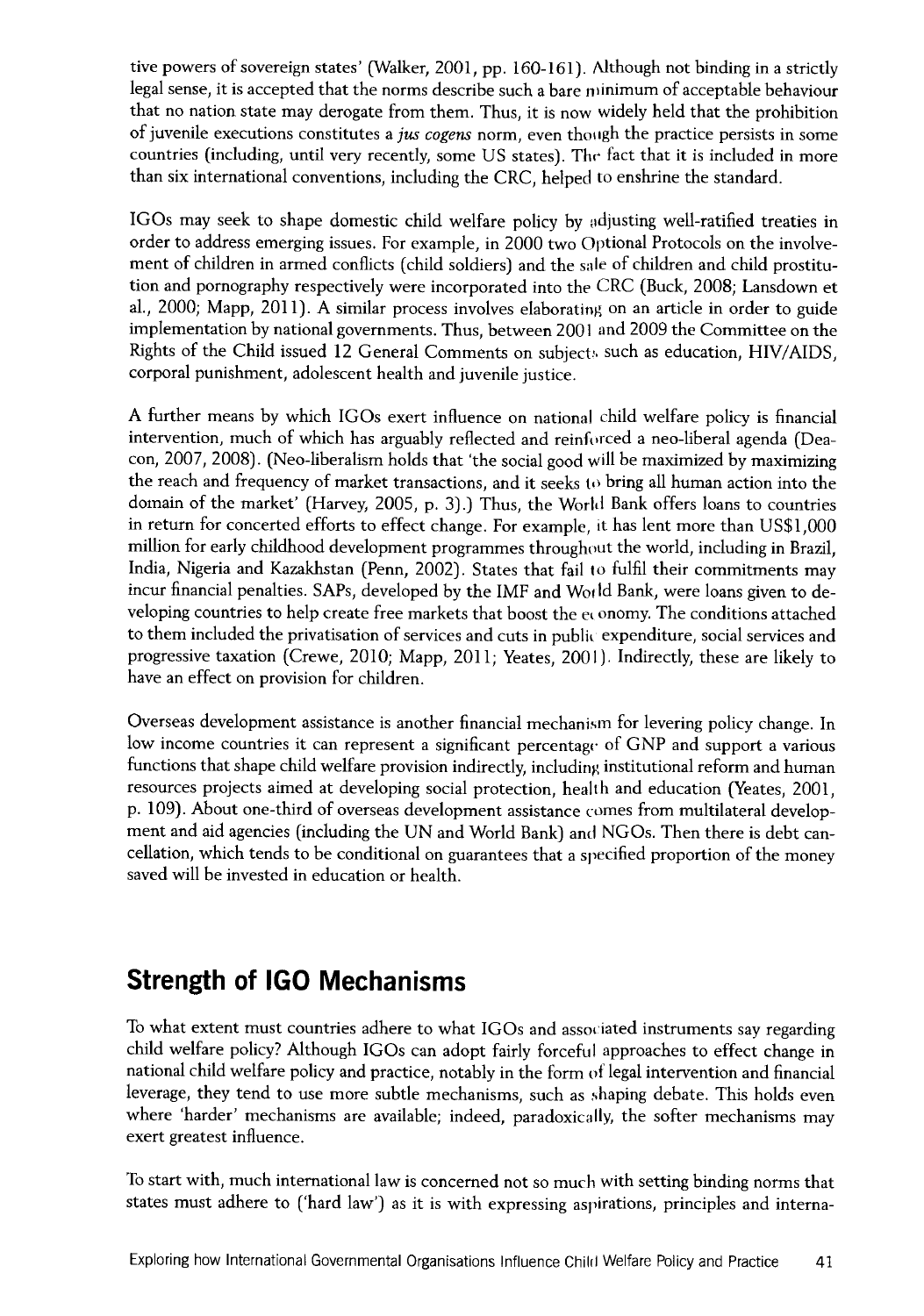tive powers of sovereign states' (Walker, 2001, pp. 160-161). Although not binding in a strictly legal sense, it is accepted that the norms describe such a bare minimum of acceptable behaviour that no nation state may derogate from them. Thus, it is now widely held that the prohibition of juvenile executions constitutes a *ju s cogens* norm, even though the practice persists in some countries (including, until very recently, some US states). The fact that it is included in more than six international conventions, including the CRC, helped to enshrine the standard.

IGOs may seek to shape domestic child welfare policy by adjusting well-ratified treaties in order to address emerging issues. For example, in 2000 two Optional Protocols on the involvement of children in armed conflicts (child soldiers) and the sale of children and child prostitution and pornography respectively were incorporated into the CRC (Buck, 2008; Lansdown et al., 2000; Mapp, 2011). A similar process involves elaborating on an article in order to guide implementation by national governments. Thus, between 2001 and 2009 the Committee on the Rights of the Child issued 12 General Comments on subjects, such as education, HIV/AIDS, corporal punishment, adolescent health and juvenile justice.

A further means by which IGOs exert influence on national child welfare policy is financial intervention, much of which has arguably reflected and reinforced a neo-liberal agenda (Deacon, 2007, 2008). (Neo-liberalism holds that 'the social good will be maximized by maximizing the reach and frequency of market transactions, and it seeks to bring all human action into the domain of the market' (Harvey, 2005, p. 3).) Thus, the World Bank offers loans to countries in return for concerted efforts to effect change. For example, it has lent more than US\$1,000 million for early childhood development programmes throughout the world, including in Brazil, India, Nigeria and Kazakhstan (Penn, 2002). States that fail to fulfil their commitments may incur financial penalties. SAPs, developed by the IMF and World Bank, were loans given to developing countries to help create free markets that boost the economy. The conditions attached to them included the privatisation of services and cuts in public expenditure, social services and progressive taxation (Crewe, 2010; Mapp, 2011; Yeates, 2001). Indirectly, these are likely to have an effect on provision for children.

Overseas development assistance is another financial mechanism for levering policy change. In low income countries it can represent a significant percentage of GNP and support a various functions that shape child welfare provision indirectly, including institutional reform and human resources projects aimed at developing social protection, health and education (Yeates, 2001, p. 109). About one-third of overseas development assistance comes from multilateral development and aid agencies (including the UN and World Bank) and NGOs. Then there is debt cancellation, which tends to be conditional on guarantees that a specified proportion of the money saved will be invested in education or health.

# **Strength of IGO Mechanisms**

To what extent must countries adhere to what IGOs and associated instruments say regarding child welfare policy? Although IGOs can adopt fairly forceful approaches to effect change in national child welfare policy and practice, notably in the form of legal intervention and financial leverage, they tend to use more subtle mechanisms, such as shaping debate. This holds even where 'harder' mechanisms are available; indeed, paradoxically, the softer mechanisms may exert greatest influence.

To start with, much international law is concerned not so much with setting binding norms that states must adhere to ('hard law') as it is with expressing aspirations, principles and interna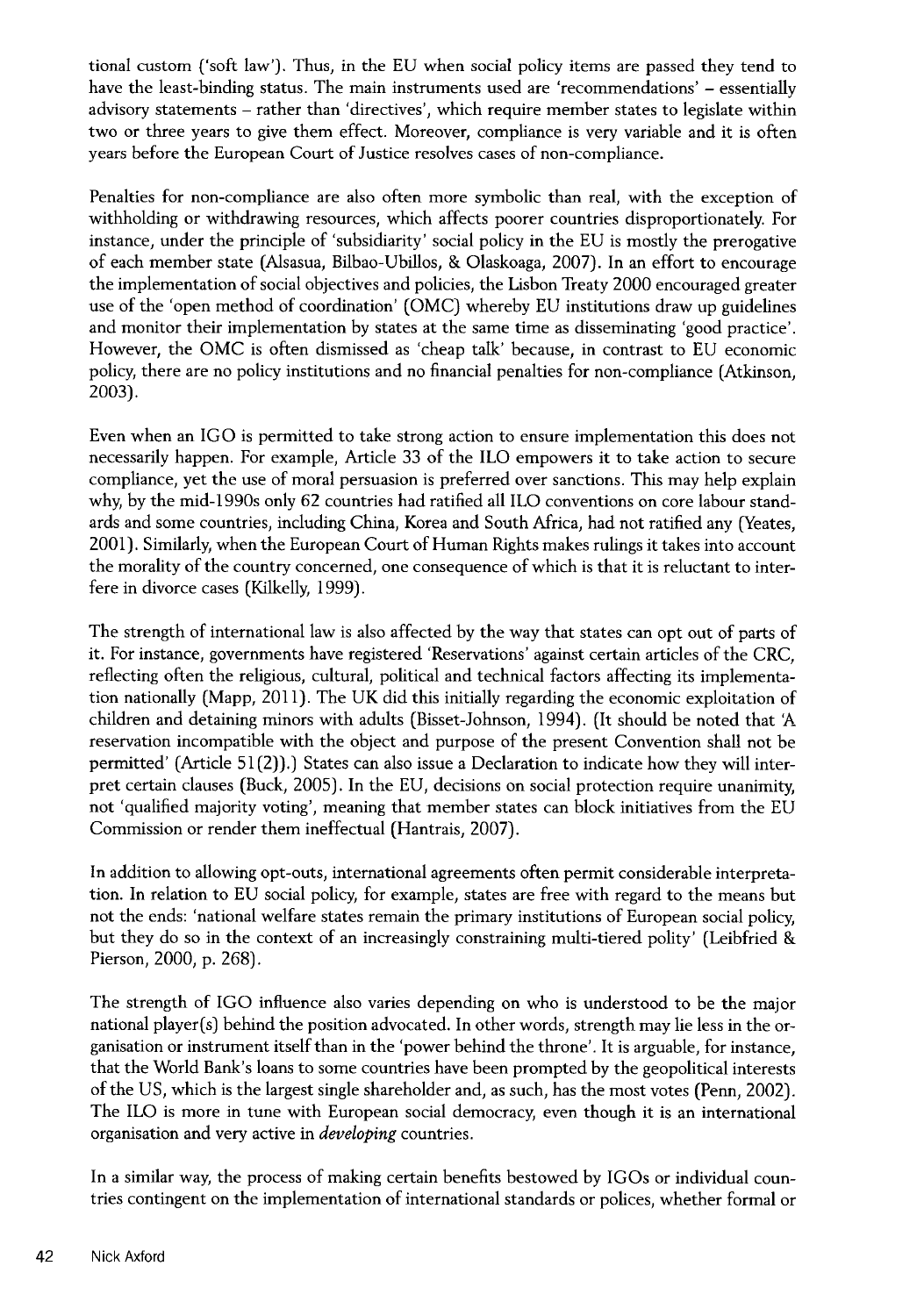tional custom ('soft law'). Thus, in the EU when social policy items are passed they tend to have the least-binding status. The main instruments used are 'recommendations' - essentially advisory statements - rather than 'directives', which require member states to legislate within two or three years to give them effect. Moreover, compliance is very variable and it is often years before the European Court of Justice resolves cases of non-compliance.

Penalties for non-compliance are also often more symbolic than real, with the exception of withholding or withdrawing resources, which affects poorer countries disproportionately. For instance, under the principle of 'subsidiarity' social policy in the EU is mostly the prerogative of each member state (Alsasua, Bilbao-Ubillos, & Olaskoaga, 2007). In an effort to encourage the implementation of social objectives and policies, the Lisbon Treaty 2000 encouraged greater use of the 'open method of coordination' (OMC) whereby EU institutions draw up guidelines and monitor their implementation by states at the same time as disseminating 'good practice'. However, the OMC is often dismissed as 'cheap talk' because, in contrast to EU economic policy, there are no policy institutions and no financial penalties for non-compliance (Atkinson, 2003).

Even when an IGO is permitted to take strong action to ensure implementation this does not necessarily happen. For example, Article 33 of the ILO empowers it to take action to secure compliance, yet the use of moral persuasion is preferred over sanctions. This may help explain why, by the mid-1990s only 62 countries had ratified all ILO conventions on core labour standards and some countries, including China, Korea and South Africa, had not ratified any (Yeates, 2001). Similarly, when the European Court of Human Rights makes rulings it takes into account the morality of the country concerned, one consequence of which is that it is reluctant to interfere in divorce cases (Kilkelly, 1999).

The strength of international law is also affected by the way that states can opt out of parts of it. For instance, governments have registered 'Reservations' against certain articles of the CRC, reflecting often the religious, cultural, political and technical factors affecting its implementation nationally (Mapp, 2011). The UK did this initially regarding the economic exploitation of children and detaining minors with adults (Bisset-Johnson, 1994). (It should be noted that A reservation incompatible with the object and purpose of the present Convention shall not be permitted' (Article 51(2)).) States can also issue a Declaration to indicate how they will interpret certain clauses (Buck, 2005). In the EU, decisions on social protection require unanimity, not 'qualified majority voting', meaning that member states can block initiatives from the EU Commission or render them ineffectual (Hantrais, 2007).

In addition to allowing opt-outs, international agreements often permit considerable interpretation. In relation to EU social policy, for example, states are free with regard to the means but not the ends: 'national welfare states remain the primary institutions of European social policy, but they do so in the context of an increasingly constraining multi-tiered polity' (Leibfried & Pierson, 2000, p. 268).

The strength of IGO influence also varies depending on who is understood to be the major national player(s) behind the position advocated. In other words, strength may lie less in the organisation or instrument itself than in the 'power behind the throne'. It is arguable, for instance, that the World Bank's loans to some countries have been prompted by the geopolitical interests of the US, which is the largest single shareholder and, as such, has the most votes (Penn, 2002). The ILO is more in tune with European social democracy, even though it is an international organisation and very active in *developing* countries.

In a similar way, the process of making certain benefits bestowed by IGOs or individual countries contingent on the implementation of international standards or polices, whether formal or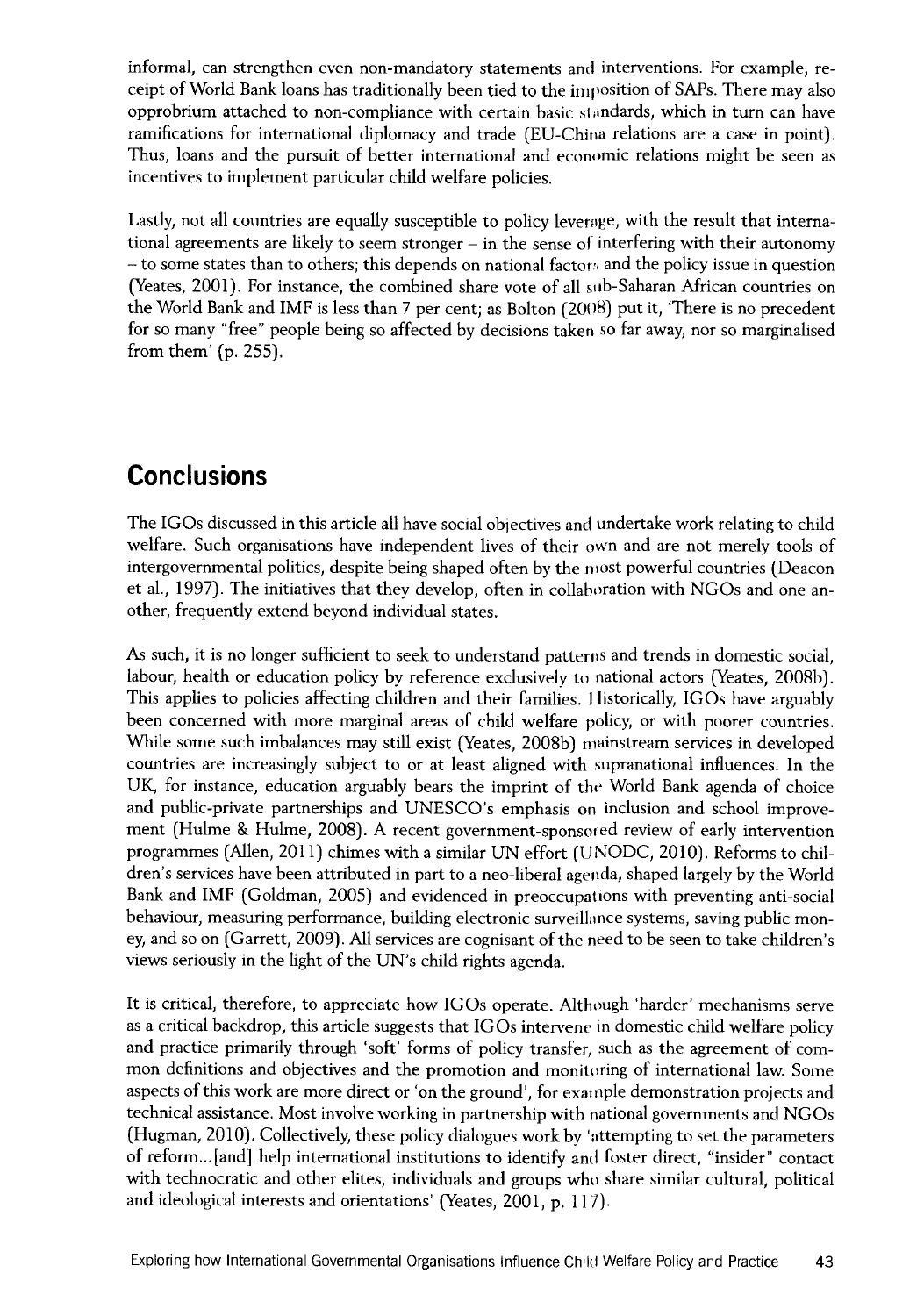informal, can strengthen even non-mandatory statements and interventions. For example, receipt of World Bank loans has traditionally been tied to the imposition of SAPs. There may also opprobrium attached to non-compliance with certain basic standards, which in turn can have ramifications for international diplomacy and trade (EU-China relations are a case in point). Thus, loans and the pursuit of better international and economic relations might be seen as incentives to implement particular child welfare policies.

Lastly, not all countries are equally susceptible to policy leverage, with the result that international agreements are likely to seem stronger - in the sense of interfering with their autonomy - to some states than to others; this depends on national factors and the policy issue in question (Yeates, 2001). For instance, the combined share vote of all sub-Saharan African countries on the World Bank and IMF is less than 7 per cent; as Bolton (2008) put it, 'There is no precedent for so many "free" people being so affected by decisions taken so far away, nor so marginalised from them' (p. 255).

# **Conclusions**

The IGOs discussed in this article all have social objectives and undertake work relating to child welfare. Such organisations have independent lives of their own and are not merely tools of intergovernmental politics, despite being shaped often by the most powerful countries (Deacon et ah, 1997). The initiatives that they develop, often in collaboration with NGOs and one another, frequently extend beyond individual states.

As such, it is no longer sufficient to seek to understand patterns and trends in domestic social, labour, health or education policy by reference exclusively to national actors (Yeates, 2008b). This applies to policies affecting children and their families. Historically, IGOs have arguably been concerned with more marginal areas of child welfare policy, or with poorer countries. While some such imbalances may still exist (Yeates, 2008b) mainstream services in developed countries are increasingly subject to or at least aligned with supranational influences. In the UK, for instance, education arguably bears the imprint of the World Bank agenda of choice and public-private partnerships and UNESCO's emphasis on inclusion and school improvement (Hulme & Hulme, 2008). A recent government-sponsored review of early intervention programmes (Allen, 2011) chimes with a similar UN effort (UNODC, 2010). Reforms to children's services have been attributed in part to a neo-liberal agenda, shaped largely by the World Bank and IMF (Goldman, 2005) and evidenced in preoccupations with preventing anti-social behaviour, measuring performance, building electronic surveillance systems, saving public money, and so on (Garrett, 2009). All services are cognisant of the need to be seen to take children's views seriously in the light of the UN's child rights agenda.

It is critical, therefore, to appreciate how IGOs operate. Although 'harder' mechanisms serve as a critical backdrop, this article suggests that IGOs intervene in domestic child welfare policy and practice primarily through 'soft' forms of policy transfer, such as the agreement of common definitions and objectives and the promotion and monitoring of international law. Some aspects of this work are more direct or 'on the ground', for example demonstration projects and technical assistance. Most involve working in partnership with national governments and NGOs (Hugman, 2010). Collectively, these policy dialogues work by 'attempting to set the parameters of reform...[and] help international institutions to identify and foster direct, "insider" contact with technocratic and other elites, individuals and groups who share similar cultural, political and ideological interests and orientations' (Yeates, 2001, p. 117).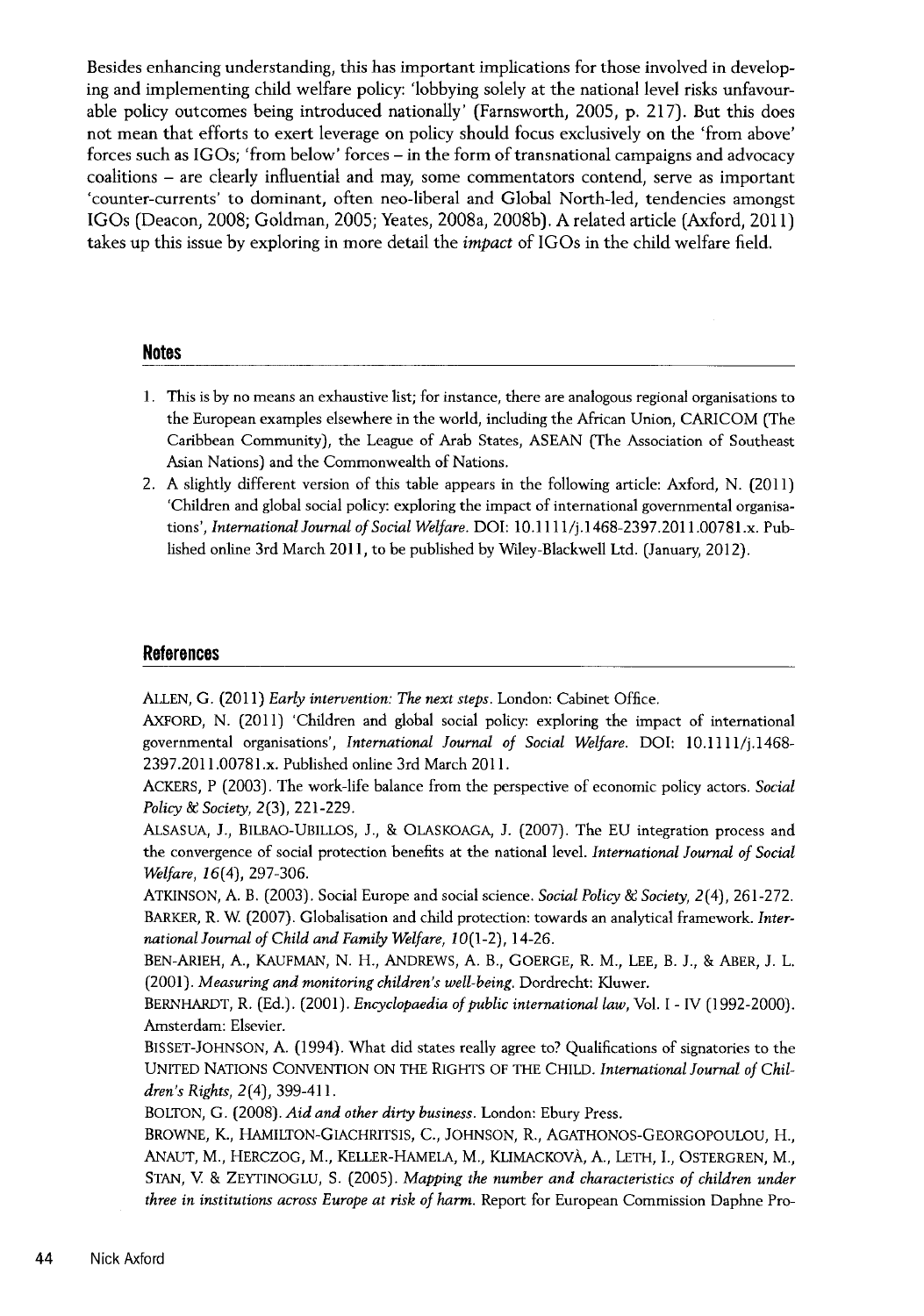Besides enhancing understanding, this has important implications for those involved in developing and implementing child welfare policy: 'lobbying solely at the national level risks unfavourable policy outcomes being introduced nationally' (Farnsworth, 2005, p. 217). But this does not mean that efforts to exert leverage on policy should focus exclusively on the 'from above' forces such as IGOs; 'from below' forces - in the form of transnational campaigns and advocacy coalitions - are clearly influential and may, some commentators contend, serve as important 'counter-currents' to dominant, often neo-liberal and Global North-led, tendencies amongst IGOs (Deacon, 2008; Goldman, 2005; Yeates, 2008a, 2008b). A related article (Axford, 2011) takes up this issue by exploring in more detail the *im pact* of IGOs in the child welfare field.

#### **Notes**

- 1. This is by no means an exhaustive list; for instance, there are analogous regional organisations to the European examples elsewhere in the world, including the African Union, CARICOM (The Caribbean Community), the League of Arab States, ASEAN (The Association of Southeast Asian Nations) and the Commonwealth of Nations.
- 2. A slightly different version of this table appears in the following article: Axford, N. (2011) 'Children and global social policy: exploring the impact of international governmental organisations', *International Journal of Social Welfare*. DOI: 10.1111/j.1468-2397.2011.00781.x. Published online 3rd March 2011, to be published by Wiley-Blackwell Ltd. (January, 2012).

#### **References**

ALLEN, G. (2011) *Early intervention: The next steps*. London: Cabinet Office.

AXFORD, N. (2011) 'Children and global social policy: exploring the impact of international governmental organisations', *International Journal of Social Welfare*. DOI: 10.1111/j.1468-2397.2011.00781.x. Published online 3rd March 2011.

ACKERS, P (2003). The work-life balance from the perspective of economic policy actors. *Social Policy & Society, 2(3), 221-229.* 

ALSASUA, J., BILBAO-UBILLOS, J., & OLASKOAGA, J. (2007). The EU integration process and the convergence of social protection benefits at the national level. *International Journal of Social Welfare, 16(4), 297-306.* 

ATKINSON, A. B. (2003). Social Europe and social science. *Social Policy & Society*, 2(4), 261-272. BARKER, R. W (2007). Globalisation and child protection: towards an analytical framework. *Inter*national Journal of Child and Family Welfare, 10(1-2), 14-26.

BEN-ARIEH, A., KAUFMAN, N. H., ANDREWS, A. B., GOERGE, R. M., LEE, B. J., & ABER, J. L. (2001). *Measuring and monitoring children's well-being*. Dordrecht: Kluwer.

BERNHARDT, R. (Ed.). (2001). *Encyclopaedia of public international law*, Vol. I - IV (1992-2000). Amsterdam: Elsevier.

BlSSET-JOHNSON, A. (1994). What did states really agree to? Qualifications of signatories to the UNITED NATIONS CONVENTION ON THE RIGHTS OF THE CHILD. *International Journal of Children 's Rights,* 2(4), 399-411.

BOLTON, G. (2008). *Aid and other dirty business*. London: Ebury Press.

BROWNE, K., HAMILTON-GIACHRITS1S, C., JOHNSON, R., AGATHONOS-GEORGOPOULOU, H., ANAUT, M., HERCZOG, M., KELLER-HAMELA, M., KLIMACKOVA, A., LETH, I., OSTERGREN, M., STAN, V. & ZEYTINOGLU, S. (2005). *Mapping the number and characteristics of children under three in institutions across Europe at risk of harm.* Report for European Commission Daphne Pro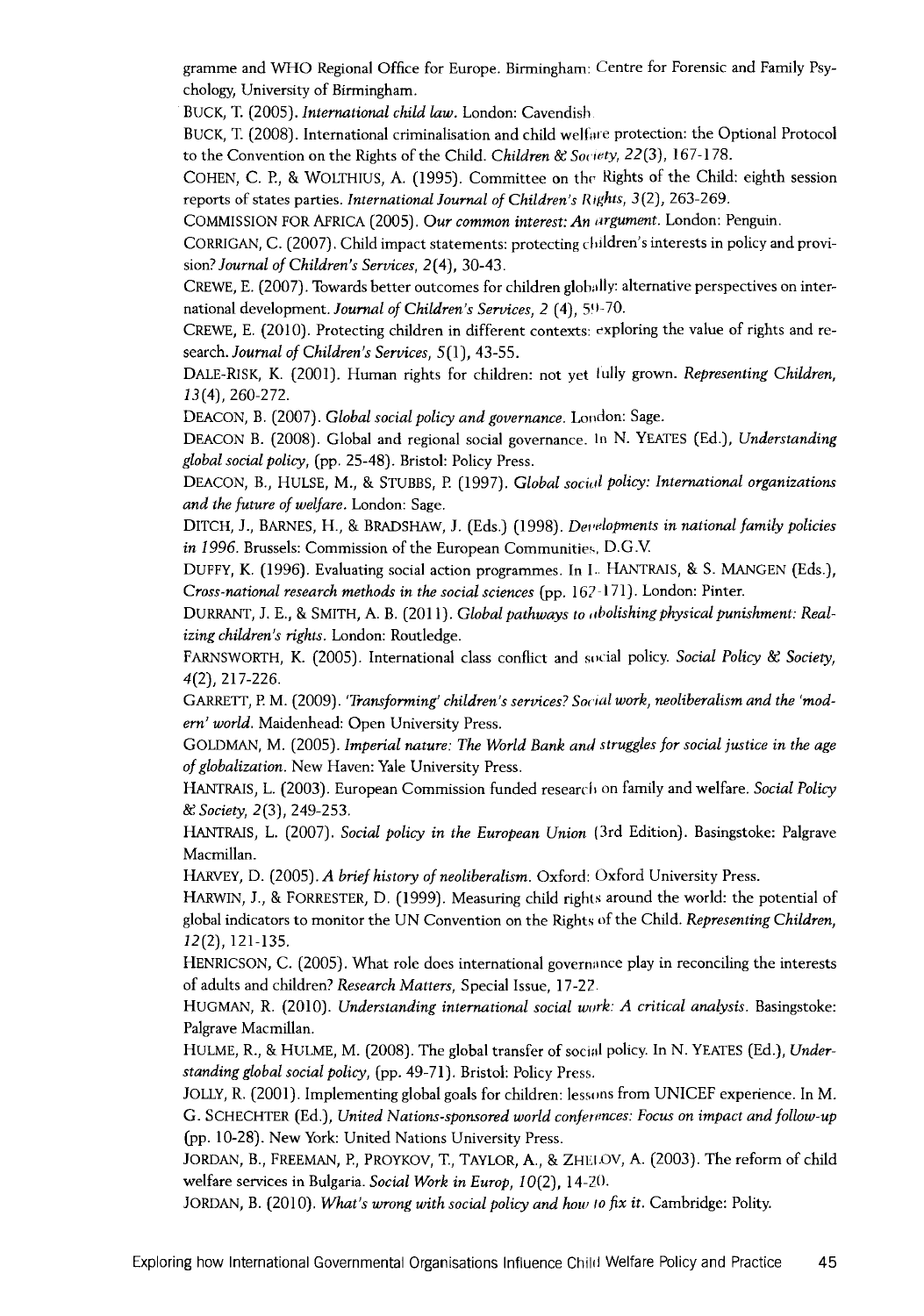gramme and WHO Regional Office for Europe. Birmingham: Centre for Forensic and Family Psychology, University of Birmingham.

BUCK, T. (2005). *International child law*. London: Cavendish.

BUCK, T. (2008). International criminalisation and child welfare protection: the Optional Protocol to the Convention on the Rights of the Child. *Children & Society*, 22(3), 167-178.

COHEN, C. P., & WOLTHIUS, A. (1995). Committee on the Rights of the Child: eighth session reports of states parties. *International Journal of Children's Rights*, 3(2), 263-269.

COMMISSION FOR AFRICA (2005). *Our common interest: An argument*. London: Penguin.

CORRIGAN, C. (2007). Child impact statements: protecting children's interests in policy and provision? *Journal of Children's Services*, 2(4), 30-43.

CREWE, E. (2007). Towards better outcomes for children globally: alternative perspectives on international development. *Journal of Children's Services*, 2 (4), 59-70.

CREWE, E. (2010). Protecting children in different contexts: exploring the value of rights and research. *Journal of Children's Services*, 5(1), 43-55.

DALE-RISK, K. (2001). Human rights for children: not yet fully grown. *Representing Children*, 13(4), 260-272.

DEACON, B. (2007). *Global social policy and governance*. London: Sage.

DEACON B. (2008). Global and regional social governance. In N. YEATES (Ed.), *Understanding global so cial policy,* (pp. 25-48). Bristol: Policy Press.

DEACON, B., HULSE, M., & STUBBS, P. (1997). *Global social policy: International organizations and the future of welfare.* London: Sage.

DITCH, J., BARNES, H., & BRADSHAW, J. (Eds.) (1998). *Developments in national family policies in 1996.* Brussels: Commission of the European Communities, D.G.V.

DUFFY, K. (1996). Evaluating social action programmes. In I. HANTRAIS, & S. MANGEN (Eds.), *Cross-national research methods in the social sciences* (pp. 167-171). London: Pinter.

DURRANT, J. E., & SMITH, A. B. (2011). *Global pathways to abolishing physical punishment: Realizing children's rights.* London: Routledge.

FARNSWORTH, K. (2005). International class conflict and social policy. *Social Policy & Society*, 4(2), 217-226.

GARRETT, P. M. (2009). 'Transforming' children's services? Social work, neoliberalism and the 'modern' world. Maidenhead: Open University Press.

GOLDMAN, M. (2005). *Imperial nature: The World Bank and struggles for social justice in the age* of globalization. New Haven: Yale University Press.

HANTRAIS, L. (2003). European Commission funded research on family and welfare. *Social Policy* & *Society,* 2(3), 249-253.

HANTRAIS, L. (2007). *Social policy in the European Union* (3rd Edition). Basingstoke: Palgrave Macmillan.

HARVEY, D. (2005). A brief history of neoliberalism. Oxford: Oxford University Press.

HARWIN, J., & FORRESTER, D. (1999). Measuring child rights around the world: the potential of global indicators to monitor the UN Convention on the Rights of the Child. *Representing Children*, 12(2), 121-135.

HENRICSON, C. (2005). What role does international governance play in reconciling the interests of adults and children? *Research Matters*, Special Issue, 17-22.

HUGMAN, R. (2010). *Understanding international social work: A critical analysis*. Basingstoke: Palgrave Macmillan.

HULME, R., & HULME, M. (2008). The global transfer of social policy. In N. YEATES (Ed.), *Understanding global social policy,* (pp. 49-71). Bristol: Policy Press.

JOLLY, R. (2001). Implementing global goals for children: lessons from UNICEF experience. In M. G. SCHECHTER (Ed.), *United Nations-sponsored world conferences: Focus on impact and follow-up* (pp. 10-28). New York: United Nations University Press.

JORDAN, B., FREEMAN, E, PROYKOV, T., TAYLOR, A., & ZHEI.OV, A. (2003). The reform of child welfare services in Bulgaria. *Social Work in Europ*, 10(2), 14-20.

JORDAN, B. (2010). *What's wrong with social policy and how to fix it.* Cambridge: Polity.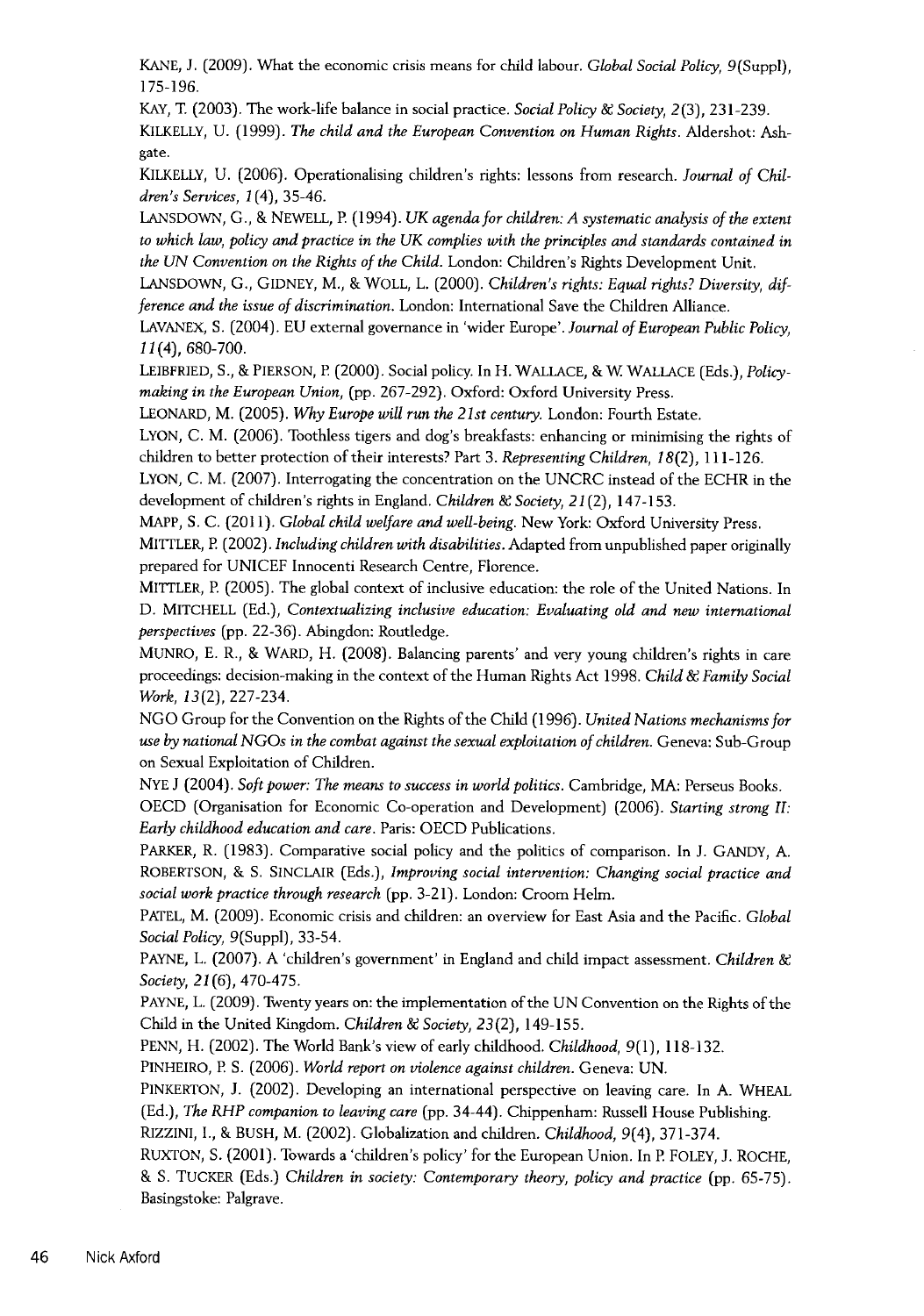KANE, J. (2009). What the economic crisis means for child labour. *Global Social Policy*, 9(Suppl), 175-196.

KAY, T. (2003). The work-life balance in social practice. *Social Policy & Society*, 2(3), 231-239.

KILKELLY, U. (1999). *The child and the European Convention on Human Rights*. Aldershot: Ashgate.

KILKELLY, U. (2006). Operationalising children's rights: lessons from research. *Journal of Children's Services, 1(4), 35-46.* 

LANSDOWN, G., & NEWELL, P. (1994). *UK agenda for children: A systematic analysis of the extent to which law, policy and practice in the UK complies with the principles and standards contained in the UN Convention on the Rights of the Child. London: Children's Rights Development Unit.* 

LANSDOWN, G., GIDNEY, M., & WOLL, L. (2000). *Children's rights: Equal rights? Diversity, difference and the issue of discrimination*. London: International Save the Children Alliance.

LAVANEX, S. (2004). EU external governance in 'wider Europe'. Journal of European Public Policy. 11(4), 680-700.

LEIBFRIED, S., & PIERSON, P (2000). Social policy. In H. WALLACE, & W WALLACE (Eds.), *Policy*making in the European Union, (pp. 267-292). Oxford: Oxford University Press.

LEONARD, M. (2005). Why Europe will run the 21st century. London: Fourth Estate.

LYON, C. M. (2006). Toothless tigers and dog's breakfasts: enhancing or minimising the rights of children to better protection of their interests? Part 3. Representing Children, 18(2), 111-126.

LYON, C. M. (2007). Interrogating the concentration on the UNCRC instead of the ECHR in the development of children's rights in England. *Children & Society*, 21(2), 147-153.

MAPP, S. C. (2011). *Global child welfare and well-being*. New York: Oxford University Press.

MITTLER, P. (2002). *Including children with disabilities*. Adapted from unpublished paper originally prepared for UNICEF Innocenti Research Centre, Florence.

MlTTLER, P. (2005). The global context of inclusive education: the role of the United Nations. In D. MITCHELL (Ed.), *Contextualizing inclusive education: Evaluating old and new international perspectives* (pp. 22-36). Abingdon: Routledge.

MUNRO, E. R., & WARD, H. (2008). Balancing parents' and very young children's rights in care proceedings: decision-making in the context of the Human Rights Act 1998. *Child & Family Social Work,* 13(2), 227-234.

N G O Group for the Convention on the Rights of the Child (1996). *U n ited N a tio n s m echan ism s fo r use by n atio n al N G O s in the com bat a g a in st the se x u a l exploitation o f children.* Geneva: Sub-Group on Sexual Exploitation of Children.

NYE J (2004). *Soft power: The means to success in world politics.* Cambridge, MA: Perseus Books. OECD (Organisation for Economic Co-operation and Development) (2006). *Starting strong II: Early childhood education and care.* Paris: OECD Publications.

PARKER, R. (1983). Comparative social policy and the politics of comparison. In J. GANDY, A. ROBERTSON, & S. SINCLAIR (Eds.), *Improving social intervention: Changing social practice and so cial work p ractice through research* (pp. 3-21). London: Croom Helm.

PATEL, M. (2009). Economic crisis and children: an overview for East Asia and the Pacific. *Global S o cial Policy,* 9(Suppl), 33-54.

PAYNE, L. (2007). A 'children's government' in England and child impact assessment. *Children & Society,* 21(6), 470-475.

PAYNE, L. (2009). Twenty years on: the implementation of the UN Convention on the Rights of the Child in the United Kingdom. *Children & Society*, 23(2), 149-155.

PENN, H. (2002). The World Bank's view of early childhood. *C hildhood,* 9(1), 118-132.

PINHEIRO, P. S. (2006). *World report on violence against children*. Geneva: UN.

PINKERTON, J. (2002). Developing an international perspective on leaving care. In A. WHEAL (Ed.), *The RHP companion to leaving care* (pp. 34-44). Chippenham: Russell House Publishing. RlZZINI, I., & BUSH, M. (2002). Globalization and children. *Childhood,* 9(4), 371-374.

RUXTON, S. (2001). Towards a 'children's policy' for the European Union. In P. FOLEY, J. ROCHE, & S. TUCKER (Eds.) *Children in society: Contemporary theory, policy and practice* (pp. 65-75). Basingstoke: Palgrave.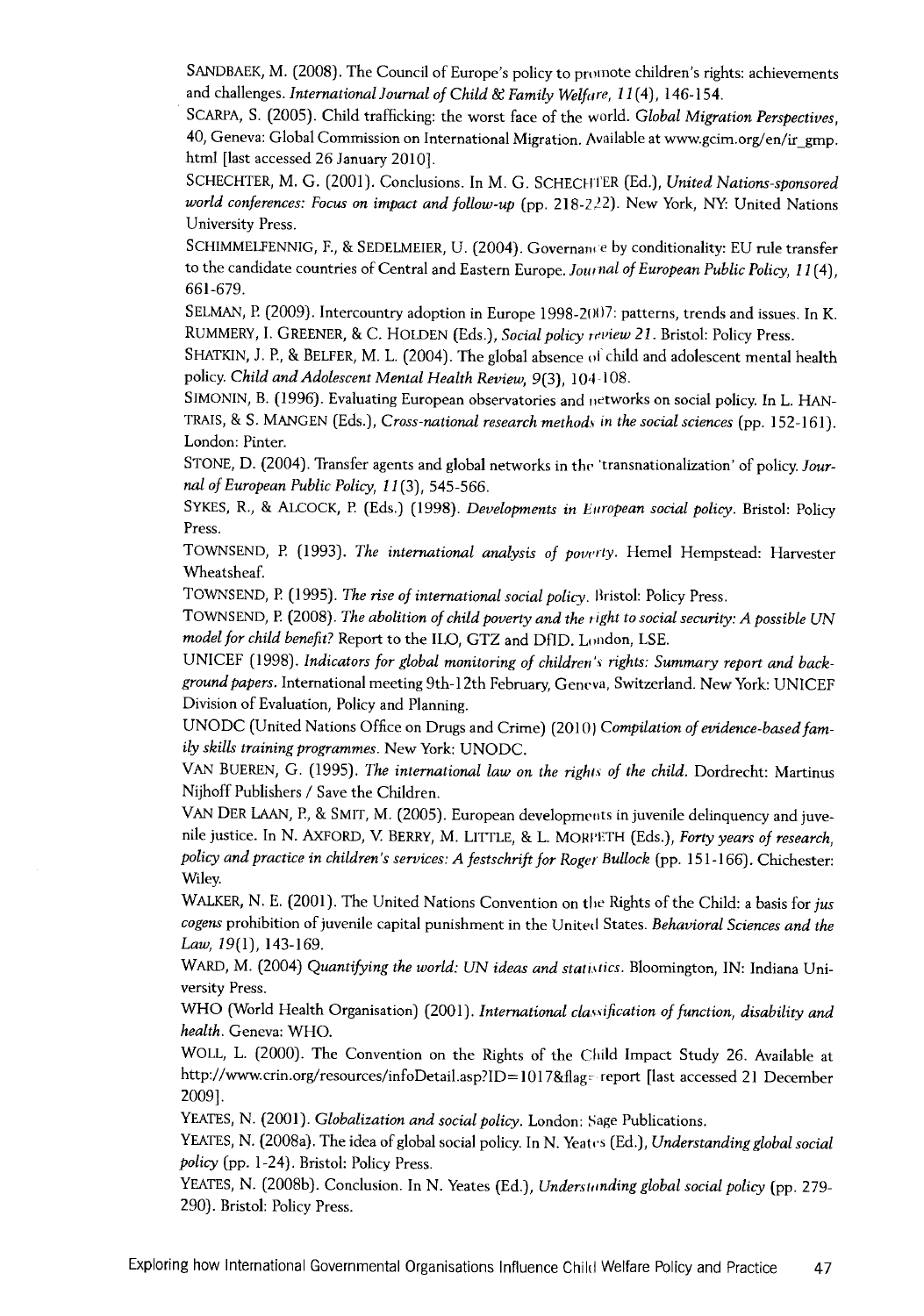SANDBAEK, M. (2008). The Council of Europe's policy to promote children's rights: achievements and challenges. *International Journal of Child & Family Welfare, 11*(4), 146-154.

SCARPA, S. (2005). Child trafficking: the worst face of the world. *Global Migration Perspectives*, 40, Geneva: Global Commission on International Migration. Available at [www.gcim.org/en/ir\\_gmp.](http://www.gcim.org/en/ir_gmp) html [last accessed 26 January 2010].

SCHECHTER, M. G. (2001). Conclusions. In M. G. SCHECHTER (Ed.), *United Nations-sponsored* world conferences: Focus on impact and follow-up (pp. 218-2<sup>22</sup>). New York, NY: United Nations University Press.

SCHIMMELFENNIG, F., & SEDELMEIER, U. (2004). Governance by conditionality: EU rule transfer to the candidate countries of Central and Eastern Europe. *Journal of European Public Policy*, 11(4), 661-679.

SELMAN, P. (2009). Intercountry adoption in Europe 1998-2007: patterns, trends and issues. In K. RUMMERY, I. GREENER, & C. HOLDEN (Eds.), *Social policy review 21*. Bristol: Policy Press.

SHATKIN, J. P., & BELFER, M. L. (2004). The global absence ol child and adolescent mental health policy. *Child and Adolescent Mental Health Review*, 9(3), 104-108.

SlMONIN, B. (1996). Evaluating European observatories and networks on social policy. In L. HAN-TRAIS, & S. MANGEN (Eds.), *Cross-national research methods in the social sciences* (pp. 152-161). London: Pinter.

STONE, D. (2004). Transfer agents and global networks in the 'transnationalization' of policy. Jour*nal of European Public Policy, 11*(3), 545-566.

SYKES, R., & ALCOCK, P. (Eds.) (1998). *Developments in European social policy*. Bristol: Policy Press.

TOWNSEND, P. (1993). *The international analysis of poverty*. Hemel Hempstead: Harvester Wheatsheaf.

TOWNSEND, P. (1995). *The rise of international social policy*. Bristol: Policy Press.

TOWNSEND, P. (2008). The abolition of child poverty and the right to social security: A possible UN model for child benefit? Report to the ILO, GTZ and DfID. London, LSE.

UNICEF (1998). *Indicators for global monitoring of children's rights: Summary report and backgrou n d p apers.* International meeting 9th-l 2th February, Geneva, Switzerland. New York: UNICEF Division of Evaluation, Policy and Planning.

UNODC (United Nations Office on Drugs and Crime) (2010) Compilation of evidence-based fam*ily skills training programmes. New York: UNODC.* 

VAN BUEREN, G. (1995). *The international law on the rights of the child*. Dordrecht: Martinus Nijhoff Publishers / Save the Children.

VAN DER LAAN, P., & SMIT, M. (2005). European developments in juvenile delinquency and juvenile justice. In N. AXFORD, V. BERRY, M. LITTLE, & L. MORPETH (Eds.), Forty years of research, policy and practice in children's services: A festschrift for Roger Bullock (pp. 151-166). Chichester: Wiley.

WALKER, N. E. (2001). The United Nations Convention on the Rights of the Child: a basis for *jus* cogens prohibition of juvenile capital punishment in the United States. *Behavioral Sciences and the Law , 1 9 (1 ),* 143-169.

WARD, M. (2004) Quantifying the world: UN ideas and statistics. Bloomington, IN: Indiana University Press.

WHO (World Health Organisation) (2001). International classification of function, disability and *health.* Geneva: WHO.

WOLL, L. (2000). The Convention on the Rights of the Child Impact Study 26. Available at <http://www.crin.org/resources/infoDetail.asp?ID=1017&flag-> report [last accessed 21 December 2009],

YEATES, N. (2001). *Globalization and social policy*. London: Sage Publications.

YEATES, N. (2008a). The idea of global social policy. In N. Yeates (Ed.), *Understanding global social policy* (pp. 1-24). Bristol: Policy Press.

YEATES, N. (2008b). Conclusion. In N. Yeates (Ed.), *Understanding global social policy* (pp. 279-290). Bristol: Policy Press.